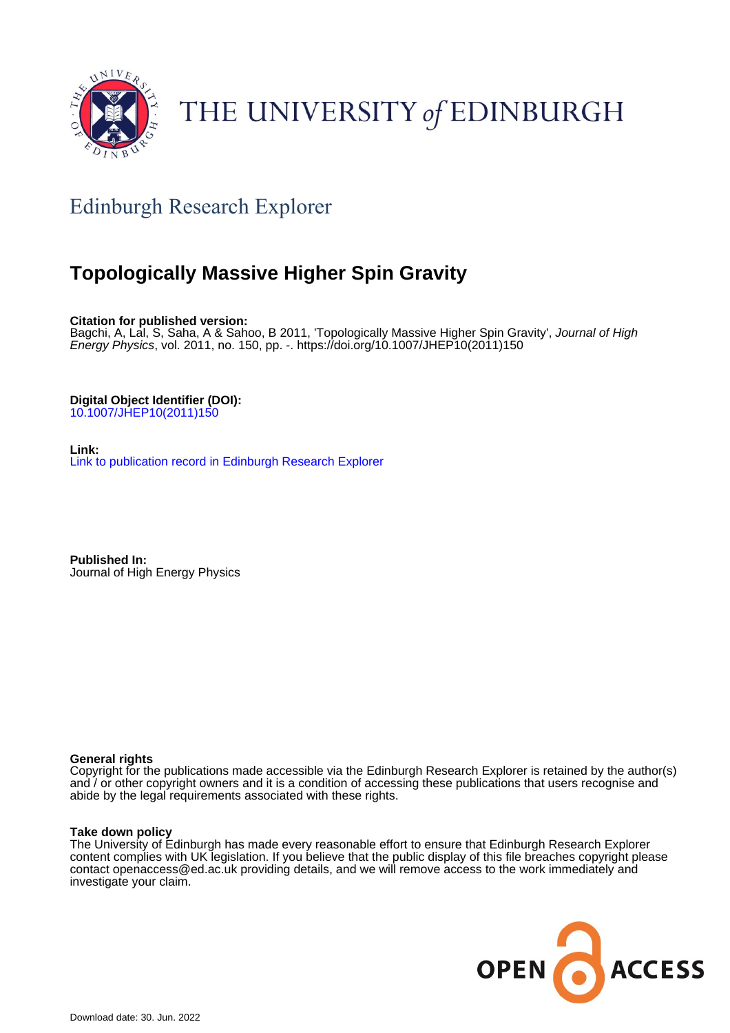

# THE UNIVERSITY of EDINBURGH

## Edinburgh Research Explorer

## **Topologically Massive Higher Spin Gravity**

**Citation for published version:**

Bagchi, A, Lal, S, Saha, A & Sahoo, B 2011, 'Topologically Massive Higher Spin Gravity', Journal of High Energy Physics, vol. 2011, no. 150, pp. -. [https://doi.org/10.1007/JHEP10\(2011\)150](https://doi.org/10.1007/JHEP10(2011)150)

**Digital Object Identifier (DOI):** [10.1007/JHEP10\(2011\)150](https://doi.org/10.1007/JHEP10(2011)150)

**Link:** [Link to publication record in Edinburgh Research Explorer](https://www.research.ed.ac.uk/en/publications/ef14babb-53dc-4c7b-8a3c-ad27d6fa6f15)

**Published In:** Journal of High Energy Physics

#### **General rights**

Copyright for the publications made accessible via the Edinburgh Research Explorer is retained by the author(s) and / or other copyright owners and it is a condition of accessing these publications that users recognise and abide by the legal requirements associated with these rights.

#### **Take down policy**

The University of Edinburgh has made every reasonable effort to ensure that Edinburgh Research Explorer content complies with UK legislation. If you believe that the public display of this file breaches copyright please contact openaccess@ed.ac.uk providing details, and we will remove access to the work immediately and investigate your claim.

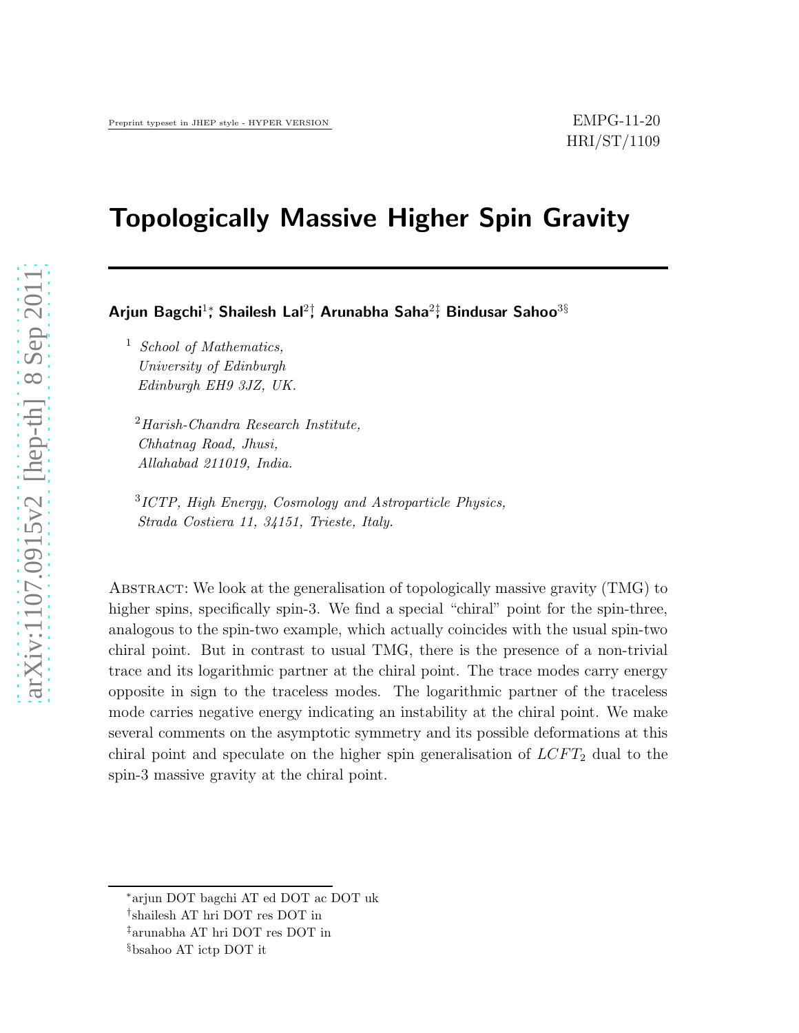## Topologically Massive Higher Spin Gravity

Arjun Bagchi<sup>1</sup>\*, Shailesh Lal<sup>2†</sup>, Arunabha Saha<sup>2‡</sup>, Bindusar Sahoo<sup>3§</sup>

<sup>1</sup> School of Mathematics, University of Edinburgh Edinburgh EH9 3JZ, UK.

<sup>2</sup>Harish-Chandra Research Institute, Chhatnag Road, Jhusi, Allahabad 211019, India.

3 ICTP, High Energy, Cosmology and Astroparticle Physics, Strada Costiera 11, 34151, Trieste, Italy.

Abstract: We look at the generalisation of topologically massive gravity (TMG) to higher spins, specifically spin-3. We find a special "chiral" point for the spin-three, analogous to the spin-two example, which actually coincides with the usual spin-two chiral point. But in contrast to usual TMG, there is the presence of a non-trivial trace and its logarithmic partner at the chiral point. The trace modes carry energy opposite in sign to the traceless modes. The logarithmic partner of the traceless mode carries negative energy indicating an instability at the chiral point. We make several comments on the asymptotic symmetry and its possible deformations at this chiral point and speculate on the higher spin generalisation of  $LCFT_2$  dual to the spin-3 massive gravity at the chiral point.

<sup>∗</sup>arjun DOT bagchi AT ed DOT ac DOT uk

<sup>†</sup> shailesh AT hri DOT res DOT in

<sup>‡</sup>arunabha AT hri DOT res DOT in

<sup>§</sup>bsahoo AT ictp DOT it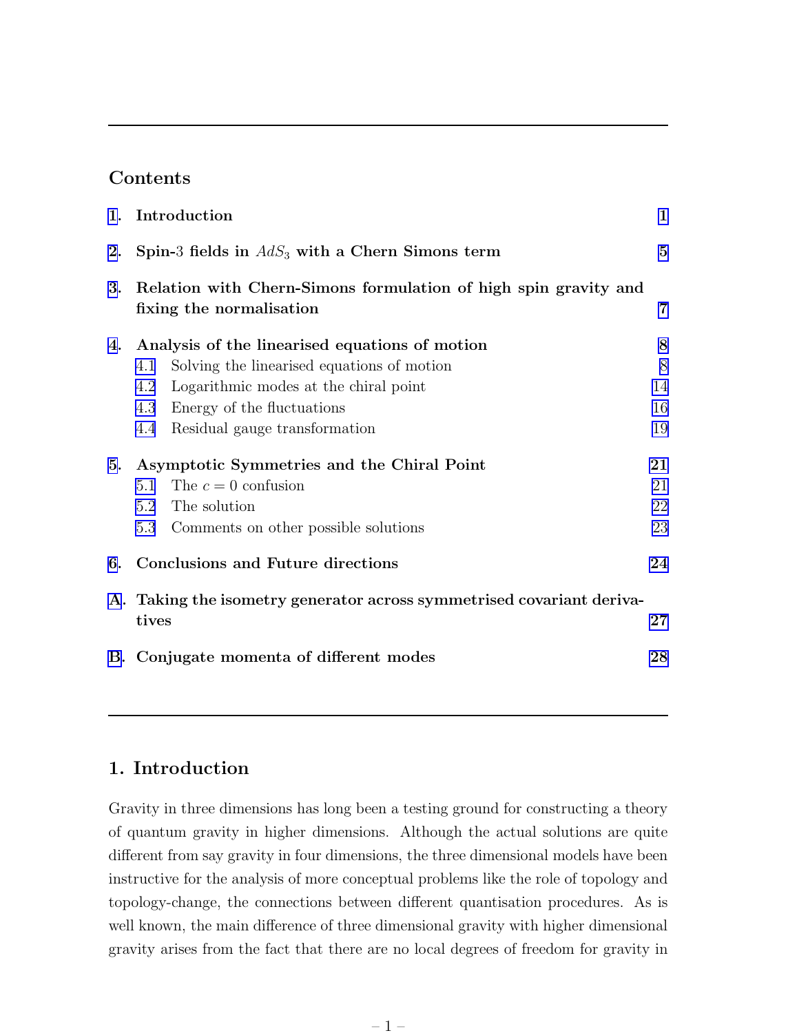## Contents

|    | 1. Introduction                                                                             | $\mathbf{1}$   |
|----|---------------------------------------------------------------------------------------------|----------------|
| 2. | Spin-3 fields in $AdS_3$ with a Chern Simons term                                           | $\overline{5}$ |
| 3. | Relation with Chern-Simons formulation of high spin gravity and<br>fixing the normalisation | $\overline{7}$ |
| 4. | Analysis of the linearised equations of motion                                              | 8              |
|    | Solving the linearised equations of motion<br>4.1                                           | 8              |
|    | Logarithmic modes at the chiral point<br>4.2                                                | 14             |
|    | Energy of the fluctuations<br>4.3                                                           | 16             |
|    | Residual gauge transformation<br>4.4                                                        | 19             |
| 5. | Asymptotic Symmetries and the Chiral Point                                                  | 21             |
|    | The $c = 0$ confusion<br>5.1                                                                | 21             |
|    | The solution<br>5.2                                                                         | 22             |
|    | Comments on other possible solutions<br>5.3                                                 | 23             |
| 6. | Conclusions and Future directions                                                           | 24             |
|    | A. Taking the isometry generator across symmetrised covariant deriva-                       |                |
|    | tives                                                                                       | $\bf{27}$      |
|    | B. Conjugate momenta of different modes                                                     | 28             |

## 1. Introduction

Gravity in three dimensions has long been a testing ground for constructing a theory of quantum gravity in higher dimensions. Although the actual solutions are quite different from say gravity in four dimensions, the three dimensional models have been instructive for the analysis of more conceptual problems like the role of topology and topology-change, the connections between different quantisation procedures. As is well known, the main difference of three dimensional gravity with higher dimensional gravity arises from the fact that there are no local degrees of freedom for gravity in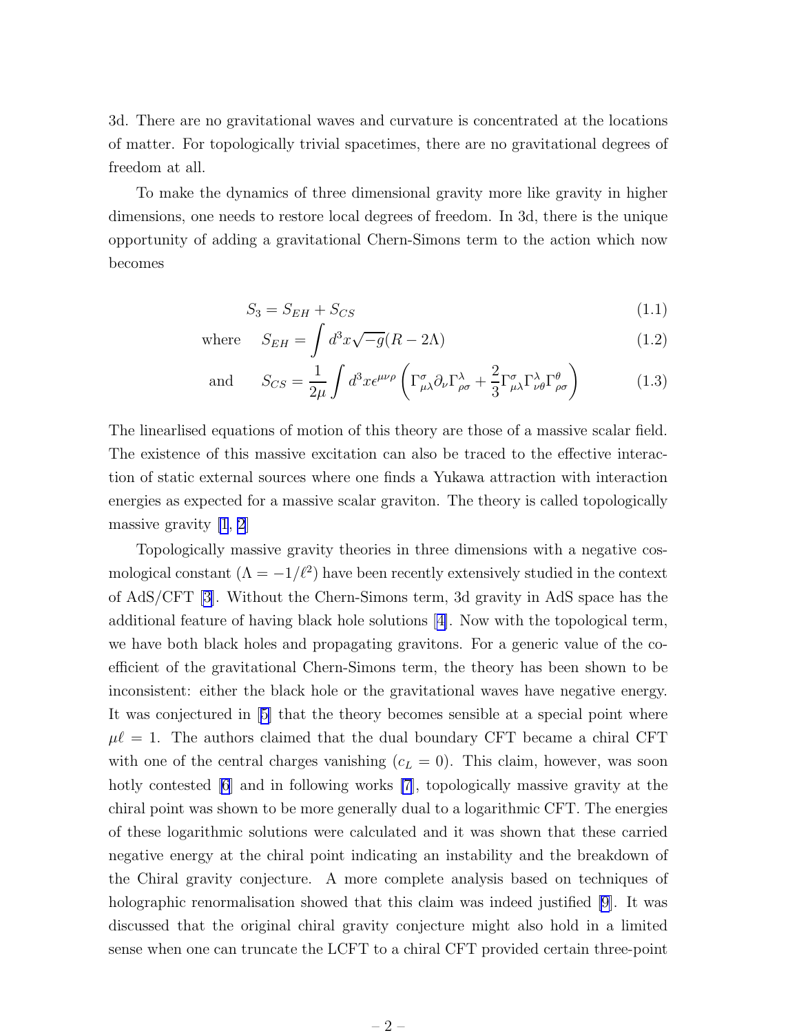<span id="page-3-0"></span>3d. There are no gravitational waves and curvature is concentrated at the locations of matter. For topologically trivial spacetimes, there are no gravitational degrees of freedom at all.

To make the dynamics of three dimensional gravity more like gravity in higher dimensions, one needs to restore local degrees of freedom. In 3d, there is the unique opportunity of adding a gravitational Chern-Simons term to the action which now becomes

$$
S_3 = S_{EH} + S_{CS} \tag{1.1}
$$

where 
$$
S_{EH} = \int d^3x \sqrt{-g}(R - 2\Lambda)
$$
 (1.2)

and 
$$
S_{CS} = \frac{1}{2\mu} \int d^3x \epsilon^{\mu\nu\rho} \left( \Gamma^{\sigma}_{\mu\lambda} \partial_{\nu} \Gamma^{\lambda}_{\rho\sigma} + \frac{2}{3} \Gamma^{\sigma}_{\mu\lambda} \Gamma^{\lambda}_{\nu\theta} \Gamma^{\theta}_{\rho\sigma} \right)
$$
(1.3)

The linearlised equations of motion of this theory are those of a massive scalar field. The existence of this massive excitation can also be traced to the effective interaction of static external sources where one finds a Yukawa attraction with interaction energies as expected for a massive scalar graviton. The theory is called topologically massive gravity [\[1](#page-31-0), [2](#page-31-0)]

Topologically massive gravity theories in three dimensions with a negative cosmological constant  $(\Lambda = -1/\ell^2)$  have been recently extensively studied in the context of AdS/CFT [\[3](#page-31-0)]. Without the Chern-Simons term, 3d gravity in AdS space has the additional feature of having black hole solutions[[4\]](#page-31-0). Now with the topological term, we have both black holes and propagating gravitons. For a generic value of the coefficient of the gravitational Chern-Simons term, the theory has been shown to be inconsistent: either the black hole or the gravitational waves have negative energy. It was conjectured in[[5\]](#page-31-0) that the theory becomes sensible at a special point where  $\mu\ell = 1$ . The authors claimed that the dual boundary CFT became a chiral CFT with one of the central charges vanishing  $(c<sub>L</sub> = 0)$ . This claim, however, was soon hotly contested [\[6](#page-31-0)] and in following works [\[7](#page-32-0)], topologically massive gravity at the chiral point was shown to be more generally dual to a logarithmic CFT. The energies of these logarithmic solutions were calculated and it was shown that these carried negative energy at the chiral point indicating an instability and the breakdown of the Chiral gravity conjecture. A more complete analysis based on techniques of holographic renormalisation showed that this claim was indeed justified [\[9](#page-32-0)]. It was discussed that the original chiral gravity conjecture might also hold in a limited sense when one can truncate the LCFT to a chiral CFT provided certain three-point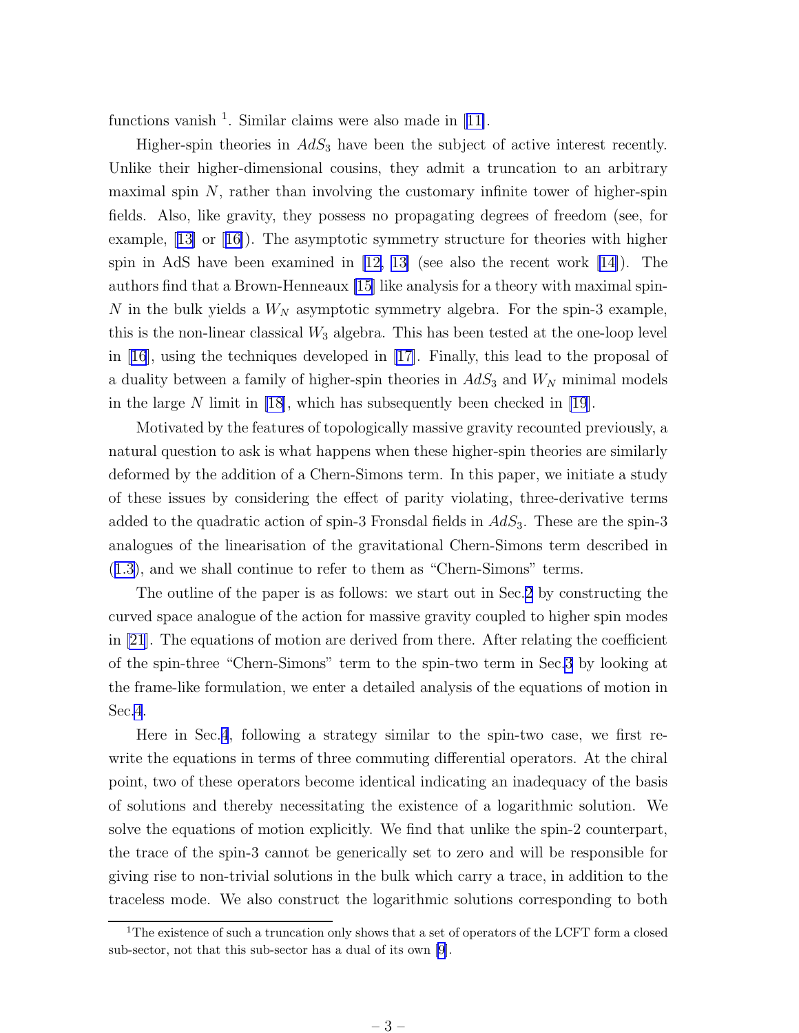functionsvanish  $<sup>1</sup>$ . Similar claims were also made in [[11\]](#page-32-0).</sup>

Higher-spin theories in  $AdS_3$  have been the subject of active interest recently. Unlike their higher-dimensional cousins, they admit a truncation to an arbitrary maximal spin  $N$ , rather than involving the customary infinite tower of higher-spin fields. Also, like gravity, they possess no propagating degrees of freedom (see, for example,[[13\]](#page-32-0) or[[16\]](#page-32-0)). The asymptotic symmetry structure for theories with higher spinin AdS have been examined in  $[12, 13]$  $[12, 13]$  (see also the recent work  $[14]$ ). The authors find that a Brown-Henneaux [\[15](#page-32-0)] like analysis for a theory with maximal spin-N in the bulk yields a  $W_N$  asymptotic symmetry algebra. For the spin-3 example, this is the non-linear classical  $W_3$  algebra. This has been tested at the one-loop level in[[16](#page-32-0)], using the techniques developed in [\[17](#page-32-0)]. Finally, this lead to the proposal of a duality between a family of higher-spin theories in  $AdS_3$  and  $W_N$  minimal models in the large  $N$  limit in [\[18\]](#page-32-0), which has subsequently been checked in [\[19](#page-32-0)].

Motivated by the features of topologically massive gravity recounted previously, a natural question to ask is what happens when these higher-spin theories are similarly deformed by the addition of a Chern-Simons term. In this paper, we initiate a study of these issues by considering the effect of parity violating, three-derivative terms added to the quadratic action of spin-3 Fronsdal fields in  $AdS<sub>3</sub>$ . These are the spin-3 analogues of the linearisation of the gravitational Chern-Simons term described in ([1.3\)](#page-3-0), and we shall continue to refer to them as "Chern-Simons" terms.

The outline of the paper is as follows: we start out in Sec.[2](#page-6-0) by constructing the curved space analogue of the action for massive gravity coupled to higher spin modes in [\[21](#page-33-0)]. The equations of motion are derived from there. After relating the coefficient of the spin-three "Chern-Simons" term to the spin-two term in Sec[.3](#page-8-0) by looking at the frame-like formulation, we enter a detailed analysis of the equations of motion in Sec[.4](#page-9-0).

Here in Sec.[4](#page-9-0), following a strategy similar to the spin-two case, we first rewrite the equations in terms of three commuting differential operators. At the chiral point, two of these operators become identical indicating an inadequacy of the basis of solutions and thereby necessitating the existence of a logarithmic solution. We solve the equations of motion explicitly. We find that unlike the spin-2 counterpart, the trace of the spin-3 cannot be generically set to zero and will be responsible for giving rise to non-trivial solutions in the bulk which carry a trace, in addition to the traceless mode. We also construct the logarithmic solutions corresponding to both

<sup>&</sup>lt;sup>1</sup>The existence of such a truncation only shows that a set of operators of the LCFT form a closed sub-sector, not that this sub-sector has a dual of its own [\[9](#page-32-0)].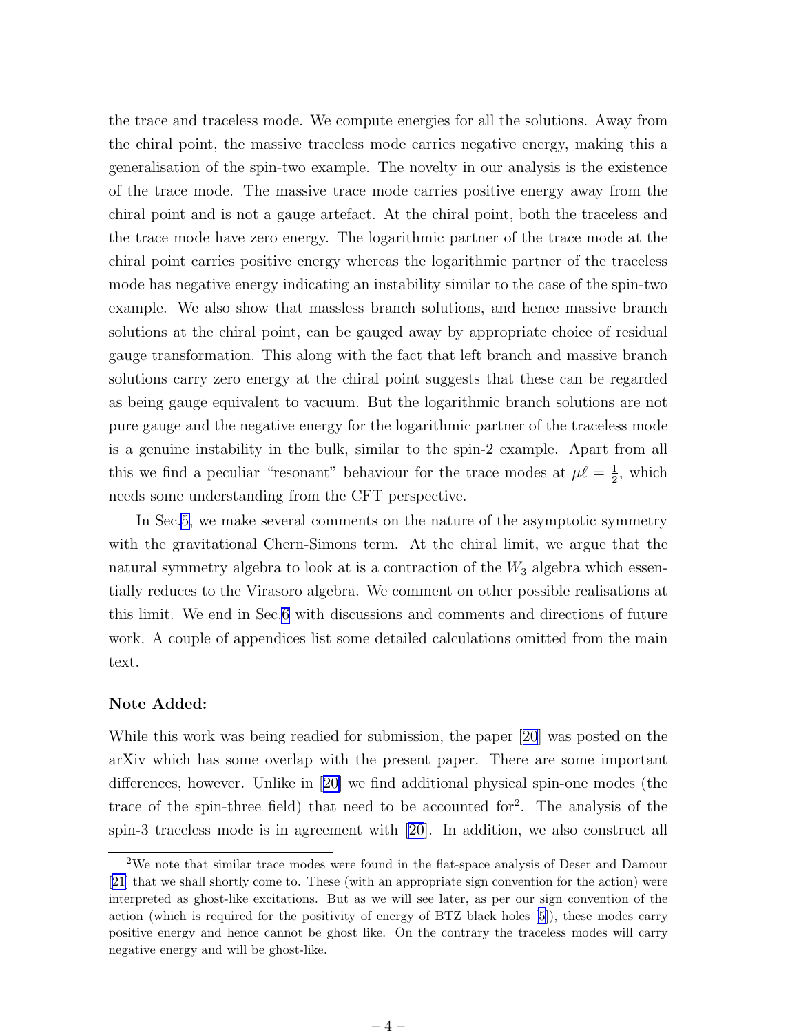the trace and traceless mode. We compute energies for all the solutions. Away from the chiral point, the massive traceless mode carries negative energy, making this a generalisation of the spin-two example. The novelty in our analysis is the existence of the trace mode. The massive trace mode carries positive energy away from the chiral point and is not a gauge artefact. At the chiral point, both the traceless and the trace mode have zero energy. The logarithmic partner of the trace mode at the chiral point carries positive energy whereas the logarithmic partner of the traceless mode has negative energy indicating an instability similar to the case of the spin-two example. We also show that massless branch solutions, and hence massive branch solutions at the chiral point, can be gauged away by appropriate choice of residual gauge transformation. This along with the fact that left branch and massive branch solutions carry zero energy at the chiral point suggests that these can be regarded as being gauge equivalent to vacuum. But the logarithmic branch solutions are not pure gauge and the negative energy for the logarithmic partner of the traceless mode is a genuine instability in the bulk, similar to the spin-2 example. Apart from all this we find a peculiar "resonant" behaviour for the trace modes at  $\mu\ell = \frac{1}{2}$  $\frac{1}{2}$ , which needs some understanding from the CFT perspective.

In Sec[.5,](#page-22-0) we make several comments on the nature of the asymptotic symmetry with the gravitational Chern-Simons term. At the chiral limit, we argue that the natural symmetry algebra to look at is a contraction of the  $W_3$  algebra which essentially reduces to the Virasoro algebra. We comment on other possible realisations at this limit. We end in Sec[.6](#page-25-0) with discussions and comments and directions of future work. A couple of appendices list some detailed calculations omitted from the main text.

#### Note Added:

While this work was being readied for submission, the paper[[20](#page-33-0)] was posted on the arXiv which has some overlap with the present paper. There are some important differences, however. Unlike in[[20\]](#page-33-0) we find additional physical spin-one modes (the trace of the spin-three field) that need to be accounted for<sup>2</sup> . The analysis of the spin-3 traceless mode is in agreement with [\[20](#page-33-0)]. In addition, we also construct all

<sup>2</sup>We note that similar trace modes were found in the flat-space analysis of Deser and Damour [\[21](#page-33-0)] that we shall shortly come to. These (with an appropriate sign convention for the action) were interpreted as ghost-like excitations. But as we will see later, as per our sign convention of the action (which is required for the positivity of energy of BTZ black holes [\[5](#page-31-0)]), these modes carry positive energy and hence cannot be ghost like. On the contrary the traceless modes will carry negative energy and will be ghost-like.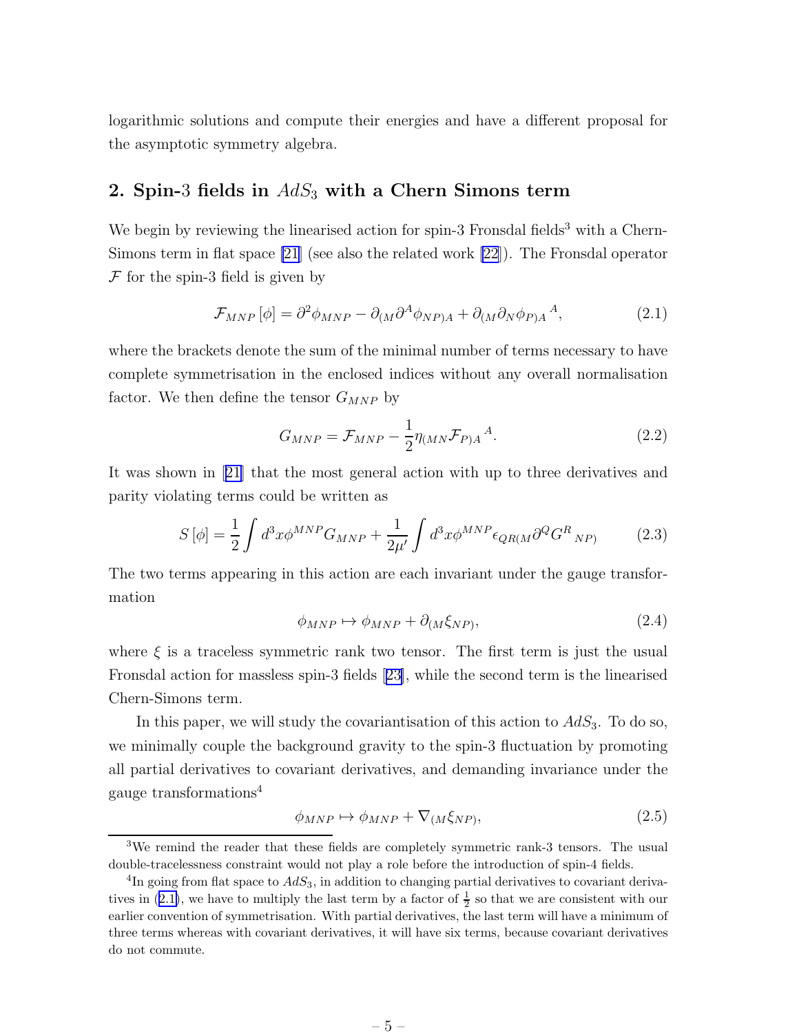<span id="page-6-0"></span>logarithmic solutions and compute their energies and have a different proposal for the asymptotic symmetry algebra.

## 2. Spin-3 fields in  $AdS_3$  with a Chern Simons term

We begin by reviewing the linearised action for spin-3 Fronsdal fields<sup>3</sup> with a Chern-Simons term in flat space [\[21](#page-33-0)] (see also the related work [\[22](#page-33-0)]). The Fronsdal operator  $\mathcal F$  for the spin-3 field is given by

$$
\mathcal{F}_{MNP}[\phi] = \partial^2 \phi_{MNP} - \partial_{(M} \partial^A \phi_{NP)A} + \partial_{(M} \partial_N \phi_{P)A}{}^A,
$$
\n(2.1)

where the brackets denote the sum of the minimal number of terms necessary to have complete symmetrisation in the enclosed indices without any overall normalisation factor. We then define the tensor  $G_{MNP}$  by

$$
G_{MNP} = \mathcal{F}_{MNP} - \frac{1}{2} \eta_{(MN} \mathcal{F}_{P)A}{}^{A}.
$$
\n(2.2)

It was shown in[[21\]](#page-33-0) that the most general action with up to three derivatives and parity violating terms could be written as

$$
S\left[\phi\right] = \frac{1}{2} \int d^3x \phi^{MNP} G_{MNP} + \frac{1}{2\mu'} \int d^3x \phi^{MNP} \epsilon_{QR(M} \partial^Q G^R{}_{NP)} \tag{2.3}
$$

The two terms appearing in this action are each invariant under the gauge transformation

$$
\phi_{MNP} \mapsto \phi_{MNP} + \partial_{(M}\xi_{NP)},\tag{2.4}
$$

where  $\xi$  is a traceless symmetric rank two tensor. The first term is just the usual Fronsdal action for massless spin-3 fields[[23\]](#page-33-0), while the second term is the linearised Chern-Simons term.

In this paper, we will study the covariantisation of this action to  $AdS_3$ . To do so, we minimally couple the background gravity to the spin-3 fluctuation by promoting all partial derivatives to covariant derivatives, and demanding invariance under the gauge transformations<sup>4</sup>

$$
\phi_{MNP} \mapsto \phi_{MNP} + \nabla_{(M\zeta_{NP})},\tag{2.5}
$$

<sup>3</sup>We remind the reader that these fields are completely symmetric rank-3 tensors. The usual double-tracelessness constraint would not play a role before the introduction of spin-4 fields.

<sup>&</sup>lt;sup>4</sup>In going from flat space to  $AdS_3$ , in addition to changing partial derivatives to covariant derivatives in (2.1), we have to multiply the last term by a factor of  $\frac{1}{2}$  so that we are consistent with our earlier convention of symmetrisation. With partial derivatives, the last term will have a minimum of three terms whereas with covariant derivatives, it will have six terms, because covariant derivatives do not commute.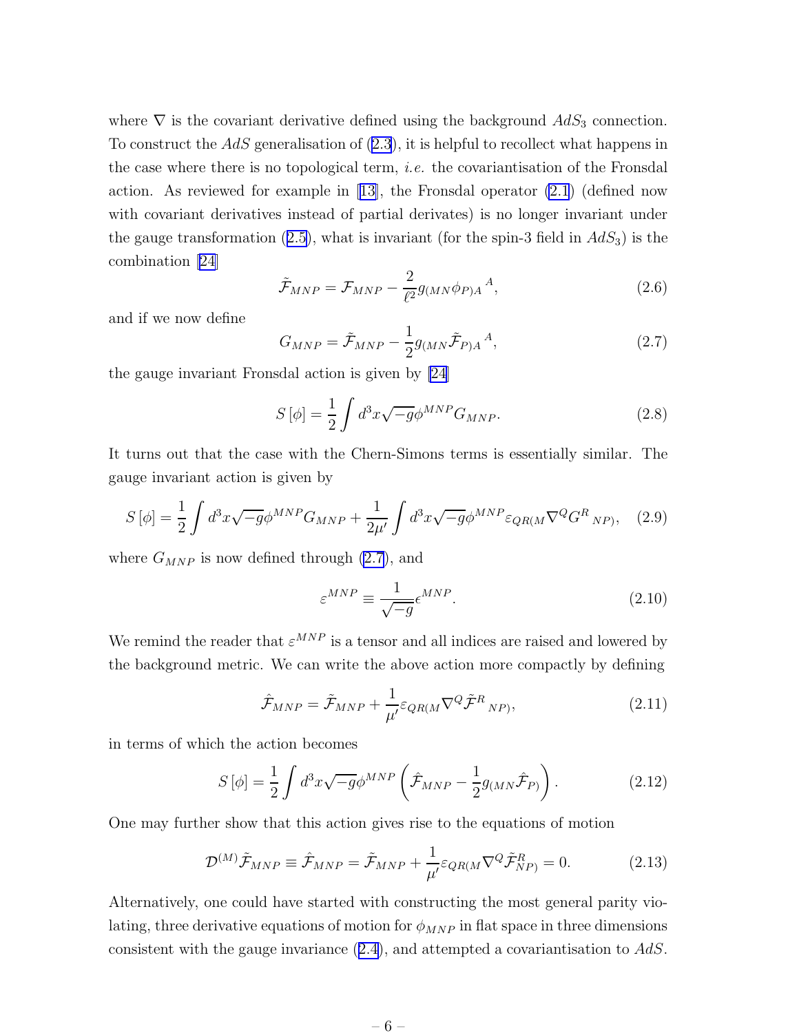<span id="page-7-0"></span>where  $\nabla$  is the covariant derivative defined using the background  $AdS_3$  connection. To construct the AdS generalisation of [\(2.3](#page-6-0)), it is helpful to recollect what happens in the case where there is no topological term, i.e. the covariantisation of the Fronsdal action. As reviewed for example in [\[13\]](#page-32-0), the Fronsdal operator [\(2.1](#page-6-0)) (defined now with covariant derivatives instead of partial derivates) is no longer invariant under thegauge transformation ([2.5\)](#page-6-0), what is invariant (for the spin-3 field in  $AdS_3$ ) is the combination [\[24](#page-33-0)]

$$
\tilde{\mathcal{F}}_{MNP} = \mathcal{F}_{MNP} - \frac{2}{\ell^2} g_{(MN}\phi_{P)A}{}^A,
$$
\n(2.6)

and if we now define

$$
G_{MNP} = \tilde{\mathcal{F}}_{MNP} - \frac{1}{2} g_{(MN} \tilde{\mathcal{F}}_{P)A}{}^{A}, \qquad (2.7)
$$

the gauge invariant Fronsdal action is given by [\[24](#page-33-0)]

$$
S\left[\phi\right] = \frac{1}{2} \int d^3x \sqrt{-g} \phi^{MNP} G_{MNP}.\tag{2.8}
$$

It turns out that the case with the Chern-Simons terms is essentially similar. The gauge invariant action is given by

$$
S\left[\phi\right] = \frac{1}{2} \int d^3x \sqrt{-g} \phi^{MNP} G_{MNP} + \frac{1}{2\mu'} \int d^3x \sqrt{-g} \phi^{MNP} \varepsilon_{QR(M} \nabla^Q G^R{}_{NP)}, \quad (2.9)
$$

where  $G_{MNP}$  is now defined through (2.7), and

$$
\varepsilon^{MNP} \equiv \frac{1}{\sqrt{-g}} \epsilon^{MNP}.
$$
\n(2.10)

We remind the reader that  $\varepsilon^{MNP}$  is a tensor and all indices are raised and lowered by the background metric. We can write the above action more compactly by defining

$$
\hat{\mathcal{F}}_{MNP} = \tilde{\mathcal{F}}_{MNP} + \frac{1}{\mu'} \varepsilon_{QR(M} \nabla^Q \tilde{\mathcal{F}}^R{}_{NP)},\tag{2.11}
$$

in terms of which the action becomes

$$
S\left[\phi\right] = \frac{1}{2} \int d^3x \sqrt{-g} \phi^{MNP} \left(\hat{\mathcal{F}}_{MNP} - \frac{1}{2} g_{(MN}\hat{\mathcal{F}}_{P)}\right). \tag{2.12}
$$

One may further show that this action gives rise to the equations of motion

$$
\mathcal{D}^{(M)}\tilde{\mathcal{F}}_{MNP} \equiv \hat{\mathcal{F}}_{MNP} = \tilde{\mathcal{F}}_{MNP} + \frac{1}{\mu'} \varepsilon_{QR(M} \nabla^Q \tilde{\mathcal{F}}_{NP)}^R = 0.
$$
 (2.13)

Alternatively, one could have started with constructing the most general parity violating, three derivative equations of motion for  $\phi_{MNP}$  in flat space in three dimensions consistent with the gauge invariance([2.4\)](#page-6-0), and attempted a covariantisation to AdS.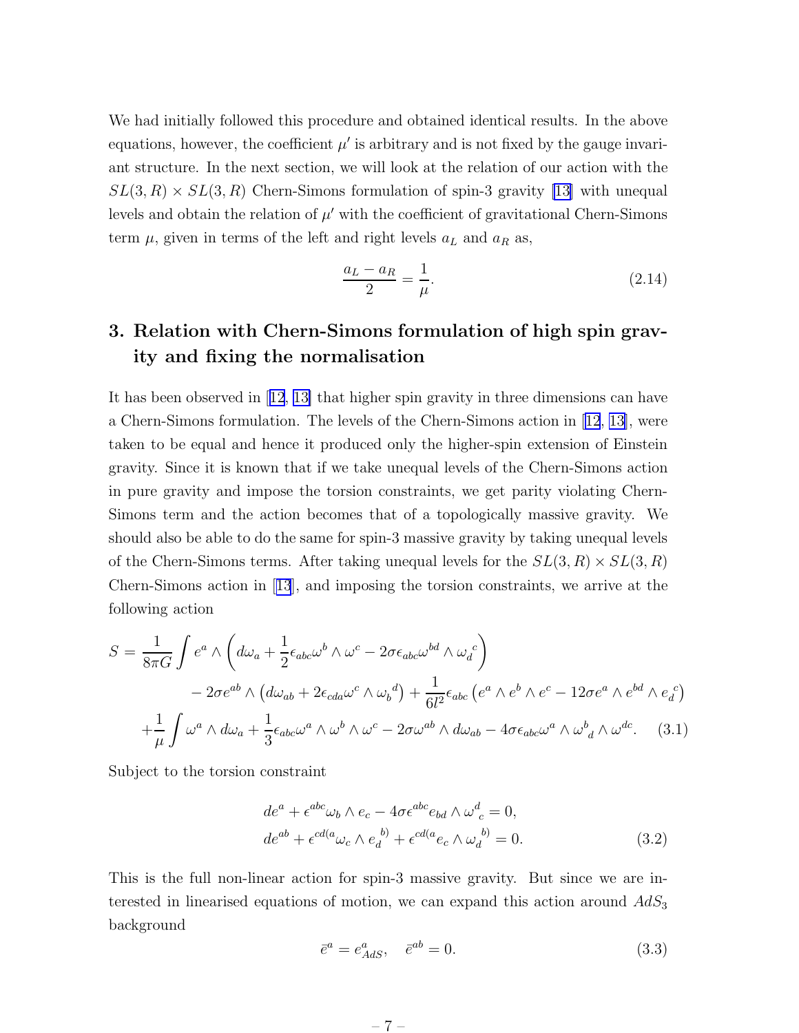<span id="page-8-0"></span>We had initially followed this procedure and obtained identical results. In the above equations, however, the coefficient  $\mu'$  is arbitrary and is not fixed by the gauge invariant structure. In the next section, we will look at the relation of our action with the  $SL(3, R) \times SL(3, R)$  Chern-Simons formulation of spin-3 gravity [\[13](#page-32-0)] with unequal levels and obtain the relation of  $\mu'$  with the coefficient of gravitational Chern-Simons term  $\mu$ , given in terms of the left and right levels  $a<sub>L</sub>$  and  $a<sub>R</sub>$  as,

$$
\frac{a_L - a_R}{2} = \frac{1}{\mu}.\tag{2.14}
$$

## 3. Relation with Chern-Simons formulation of high spin gravity and fixing the normalisation

It has been observed in[[12](#page-32-0), [13\]](#page-32-0) that higher spin gravity in three dimensions can have a Chern-Simons formulation. The levels of the Chern-Simons action in [[12](#page-32-0), [13\]](#page-32-0), were taken to be equal and hence it produced only the higher-spin extension of Einstein gravity. Since it is known that if we take unequal levels of the Chern-Simons action in pure gravity and impose the torsion constraints, we get parity violating Chern-Simons term and the action becomes that of a topologically massive gravity. We should also be able to do the same for spin-3 massive gravity by taking unequal levels of the Chern-Simons terms. After taking unequal levels for the  $SL(3, R) \times SL(3, R)$ Chern-Simons action in[[13](#page-32-0)], and imposing the torsion constraints, we arrive at the following action

$$
S = \frac{1}{8\pi G} \int e^a \wedge \left( d\omega_a + \frac{1}{2} \epsilon_{abc} \omega^b \wedge \omega^c - 2\sigma \epsilon_{abc} \omega^{bd} \wedge \omega_d^c \right)
$$
  
-  $2\sigma e^{ab} \wedge \left( d\omega_{ab} + 2\epsilon_{cda} \omega^c \wedge \omega_b^d \right) + \frac{1}{6l^2} \epsilon_{abc} \left( e^a \wedge e^b \wedge e^c - 12\sigma e^a \wedge e^{bd} \wedge e_d^c \right)$   
+  $\frac{1}{\mu} \int \omega^a \wedge d\omega_a + \frac{1}{3} \epsilon_{abc} \omega^a \wedge \omega^b \wedge \omega^c - 2\sigma \omega^{ab} \wedge d\omega_{ab} - 4\sigma \epsilon_{abc} \omega^a \wedge \omega^b{}_d \wedge \omega^{dc}.$  (3.1)

Subject to the torsion constraint

$$
de^{a} + \epsilon^{abc}\omega_{b} \wedge e_{c} - 4\sigma \epsilon^{abc} e_{bd} \wedge \omega^{d}_{c} = 0,
$$
  
\n
$$
de^{ab} + \epsilon^{cd(a}\omega_{c} \wedge e_{d}^{b)} + \epsilon^{cd(a}e_{c} \wedge \omega_{d}^{b)} = 0.
$$
\n(3.2)

This is the full non-linear action for spin-3 massive gravity. But since we are interested in linearised equations of motion, we can expand this action around  $AdS_3$ background

$$
\bar{e}^a = e^a_{AdS}, \quad \bar{e}^{ab} = 0. \tag{3.3}
$$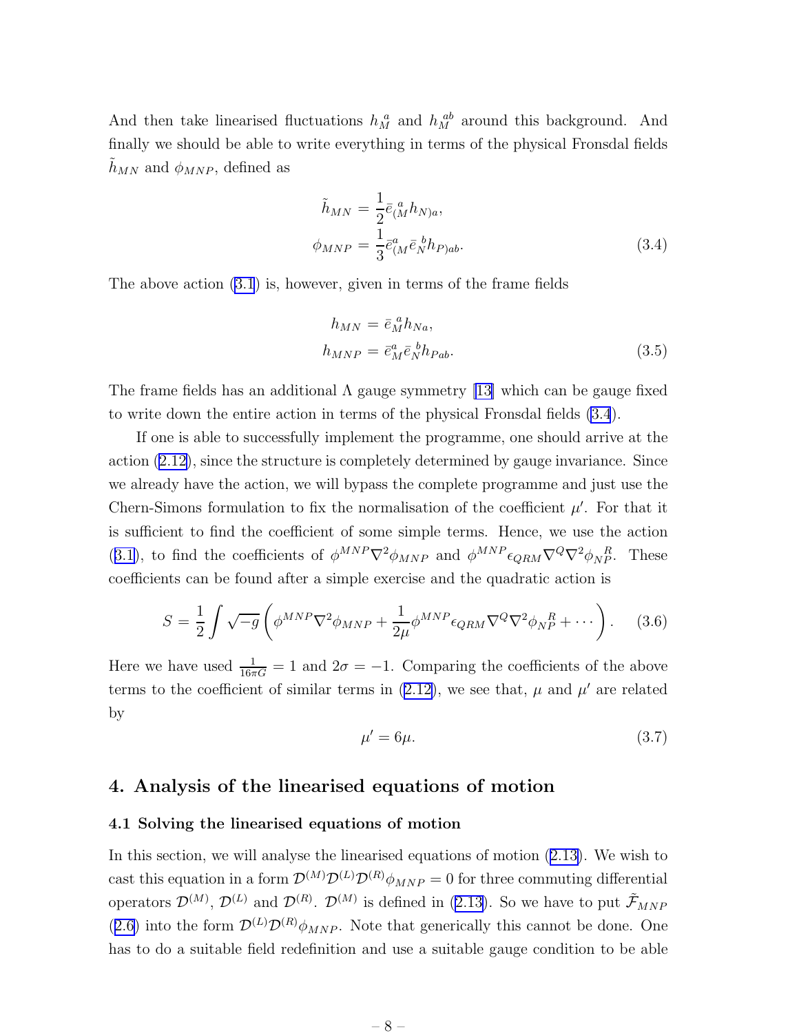<span id="page-9-0"></span>And then take linearised fluctuations  $h_M^a$  and  $h_M^{ab}$  around this background. And finally we should be able to write everything in terms of the physical Fronsdal fields  $h_{MN}$  and  $\phi_{MNP}$ , defined as

$$
\tilde{h}_{MN} = \frac{1}{2} \bar{e}_{(M}^a h_{N)a}, \n\phi_{MNP} = \frac{1}{3} \bar{e}_{(M}^a \bar{e}_N^b h_{P)ab}.
$$
\n(3.4)

The above action [\(3.1](#page-8-0)) is, however, given in terms of the frame fields

$$
h_{MN} = \bar{e}_M^a h_{Na},
$$
  
\n
$$
h_{MNP} = \bar{e}_M^a \bar{e}_N^b h_{Pab}.
$$
\n(3.5)

The frame fields has an additional  $\Lambda$  gauge symmetry [\[13\]](#page-32-0) which can be gauge fixed to write down the entire action in terms of the physical Fronsdal fields (3.4).

If one is able to successfully implement the programme, one should arrive at the action [\(2.12\)](#page-7-0), since the structure is completely determined by gauge invariance. Since we already have the action, we will bypass the complete programme and just use the Chern-Simons formulation to fix the normalisation of the coefficient  $\mu'$ . For that it is sufficient to find the coefficient of some simple terms. Hence, we use the action ([3.1\)](#page-8-0), to find the coefficients of  $\phi^{MNP} \nabla^2 \phi_{MNP}$  and  $\phi^{MNP} \epsilon_{QRM} \nabla^Q \nabla^2 \phi_{NP}^R$ . These coefficients can be found after a simple exercise and the quadratic action is

$$
S = \frac{1}{2} \int \sqrt{-g} \left( \phi^{MNP} \nabla^2 \phi_{MNP} + \frac{1}{2\mu} \phi^{MNP} \epsilon_{QRM} \nabla^Q \nabla^2 \phi_{NP}^R + \cdots \right). \tag{3.6}
$$

Here we have used  $\frac{1}{16\pi G} = 1$  and  $2\sigma = -1$ . Comparing the coefficients of the above termsto the coefficient of similar terms in  $(2.12)$  $(2.12)$ , we see that,  $\mu$  and  $\mu'$  are related by

$$
\mu' = 6\mu. \tag{3.7}
$$

### 4. Analysis of the linearised equations of motion

#### 4.1 Solving the linearised equations of motion

In this section, we will analyse the linearised equations of motion([2.13\)](#page-7-0). We wish to cast this equation in a form  $\mathcal{D}^{(M)}\mathcal{D}^{(L)}\mathcal{D}^{(R)}\phi_{MNP} = 0$  for three commuting differential operators  $\mathcal{D}^{(M)}$ ,  $\mathcal{D}^{(L)}$  and  $\mathcal{D}^{(R)}$ .  $\mathcal{D}^{(M)}$  is defined in [\(2.13\)](#page-7-0). So we have to put  $\tilde{\mathcal{F}}_{MNF}$ ([2.6\)](#page-7-0) into the form  $\mathcal{D}^{(L)}\mathcal{D}^{(R)}\phi_{MNP}$ . Note that generically this cannot be done. One has to do a suitable field redefinition and use a suitable gauge condition to be able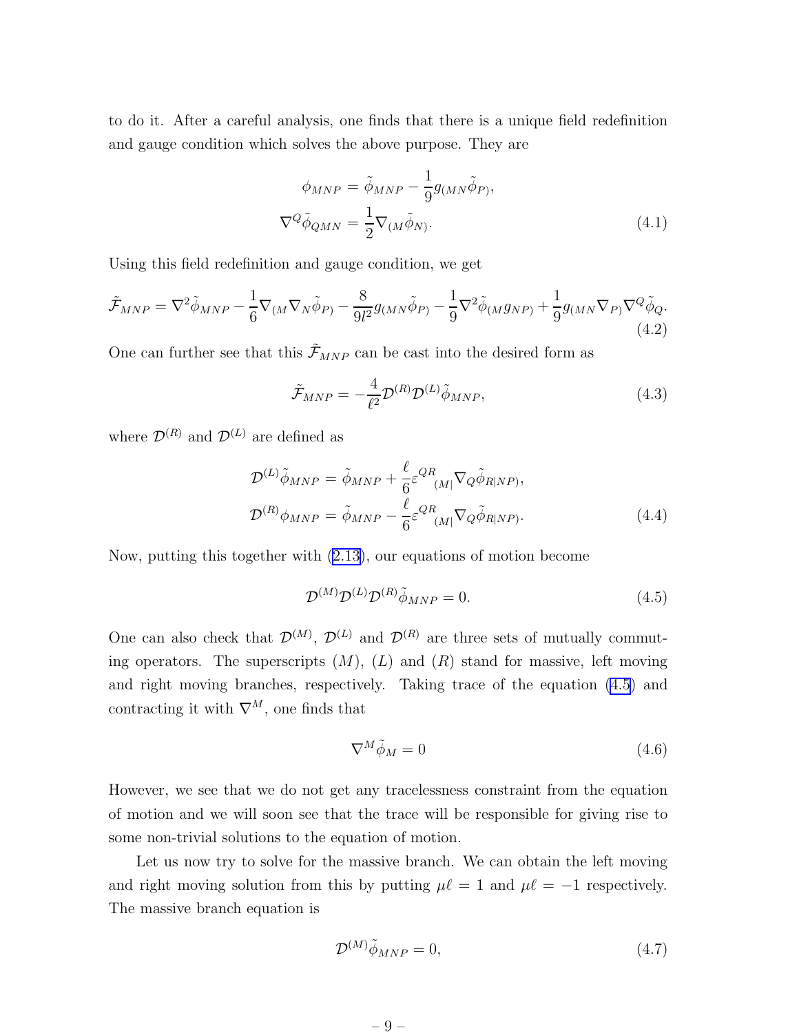<span id="page-10-0"></span>to do it. After a careful analysis, one finds that there is a unique field redefinition and gauge condition which solves the above purpose. They are

$$
\phi_{MNP} = \tilde{\phi}_{MNP} - \frac{1}{9} g_{(MN}\tilde{\phi}_{P)},
$$
  

$$
\nabla^Q \tilde{\phi}_{QMN} = \frac{1}{2} \nabla_{(M} \tilde{\phi}_{N)}.
$$
 (4.1)

Using this field redefinition and gauge condition, we get

$$
\tilde{\mathcal{F}}_{MNP} = \nabla^2 \tilde{\phi}_{MNP} - \frac{1}{6} \nabla_{(M} \nabla_N \tilde{\phi}_P) - \frac{8}{9l^2} g_{(MN} \tilde{\phi}_P) - \frac{1}{9} \nabla^2 \tilde{\phi}_{(M} g_{NP)} + \frac{1}{9} g_{(MN} \nabla_P) \nabla^Q \tilde{\phi}_Q. \tag{4.2}
$$

One can further see that this  $\tilde{\mathcal{F}}_{MNP}$  can be cast into the desired form as

$$
\tilde{\mathcal{F}}_{MNP} = -\frac{4}{\ell^2} \mathcal{D}^{(R)} \mathcal{D}^{(L)} \tilde{\phi}_{MNP},\tag{4.3}
$$

where  $\mathcal{D}^{(R)}$  and  $\mathcal{D}^{(L)}$  are defined as

$$
\mathcal{D}^{(L)}\tilde{\phi}_{MNP} = \tilde{\phi}_{MNP} + \frac{\ell}{6} \varepsilon^{QR}{}_{(M|} \nabla_Q \tilde{\phi}_{R|NP)},
$$
  

$$
\mathcal{D}^{(R)}\phi_{MNP} = \tilde{\phi}_{MNP} - \frac{\ell}{6} \varepsilon^{QR}{}_{(M|} \nabla_Q \tilde{\phi}_{R|NP}).
$$
\n(4.4)

Now, putting this together with [\(2.13\)](#page-7-0), our equations of motion become

$$
\mathcal{D}^{(M)}\mathcal{D}^{(L)}\mathcal{D}^{(R)}\tilde{\phi}_{MNP} = 0.
$$
\n(4.5)

One can also check that  $\mathcal{D}^{(M)}$ ,  $\mathcal{D}^{(L)}$  and  $\mathcal{D}^{(R)}$  are three sets of mutually commuting operators. The superscripts  $(M)$ ,  $(L)$  and  $(R)$  stand for massive, left moving and right moving branches, respectively. Taking trace of the equation (4.5) and contracting it with  $\nabla^M$ , one finds that

$$
\nabla^M \tilde{\phi}_M = 0 \tag{4.6}
$$

However, we see that we do not get any tracelessness constraint from the equation of motion and we will soon see that the trace will be responsible for giving rise to some non-trivial solutions to the equation of motion.

Let us now try to solve for the massive branch. We can obtain the left moving and right moving solution from this by putting  $\mu \ell = 1$  and  $\mu \ell = -1$  respectively. The massive branch equation is

$$
\mathcal{D}^{(M)}\tilde{\phi}_{MNP} = 0,\t\t(4.7)
$$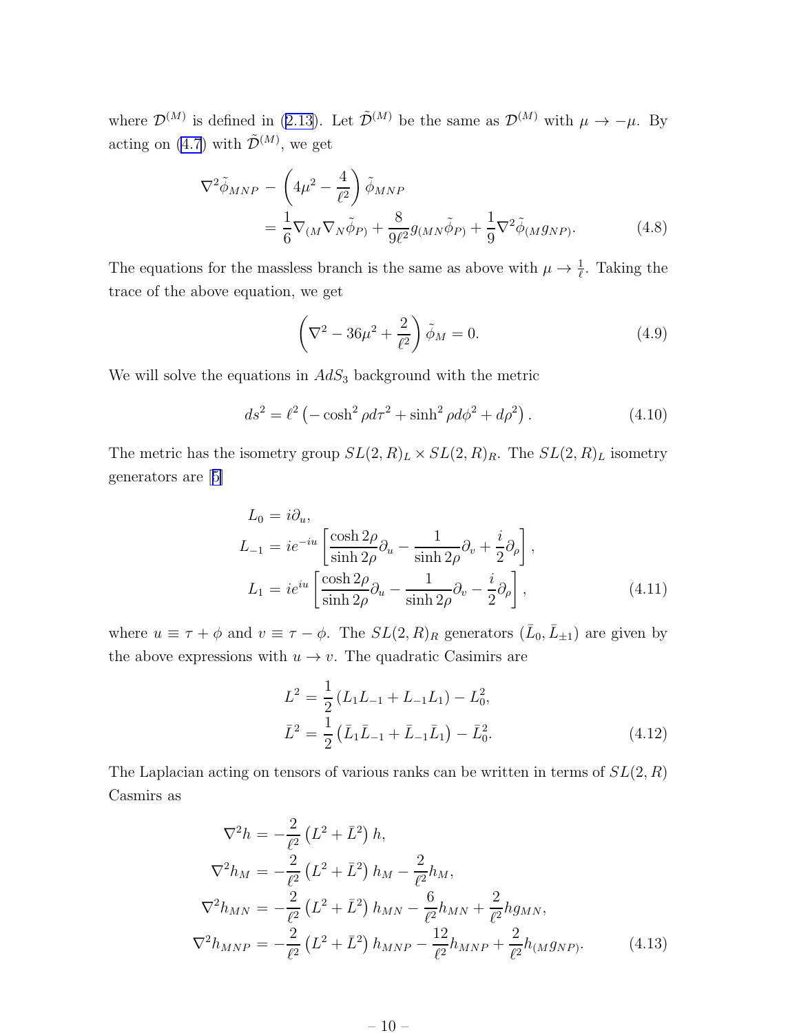<span id="page-11-0"></span>where  $\mathcal{D}^{(M)}$  is defined in [\(2.13\)](#page-7-0). Let  $\tilde{\mathcal{D}}^{(M)}$  be the same as  $\mathcal{D}^{(M)}$  with  $\mu \to -\mu$ . By acting on [\(4.7](#page-10-0)) with  $\tilde{\mathcal{D}}^{(M)}$ , we get

$$
\nabla^2 \tilde{\phi}_{MNP} - \left(4\mu^2 - \frac{4}{\ell^2}\right) \tilde{\phi}_{MNP}
$$
  
=  $\frac{1}{6} \nabla_{(M} \nabla_{N} \tilde{\phi}_{P)} + \frac{8}{9\ell^2} g_{(MN} \tilde{\phi}_{P)} + \frac{1}{9} \nabla^2 \tilde{\phi}_{(M} g_{NP)}.$  (4.8)

The equations for the massless branch is the same as above with  $\mu \to \frac{1}{\ell}$ . Taking the trace of the above equation, we get

$$
\left(\nabla^2 - 36\mu^2 + \frac{2}{\ell^2}\right)\tilde{\phi}_M = 0.
$$
\n(4.9)

We will solve the equations in  $AdS_3$  background with the metric

$$
ds^{2} = \ell^{2} \left( -\cosh^{2} \rho d\tau^{2} + \sinh^{2} \rho d\phi^{2} + d\rho^{2} \right). \tag{4.10}
$$

The metric has the isometry group  $SL(2, R)_L \times SL(2, R)_R$ . The  $SL(2, R)_L$  isometry generators are[[5\]](#page-31-0)

$$
L_0 = i\partial_u,
$$
  
\n
$$
L_{-1} = ie^{-iu} \left[ \frac{\cosh 2\rho}{\sinh 2\rho} \partial_u - \frac{1}{\sinh 2\rho} \partial_v + \frac{i}{2} \partial_\rho \right],
$$
  
\n
$$
L_1 = ie^{iu} \left[ \frac{\cosh 2\rho}{\sinh 2\rho} \partial_u - \frac{1}{\sinh 2\rho} \partial_v - \frac{i}{2} \partial_\rho \right],
$$
\n(4.11)

where  $u \equiv \tau + \phi$  and  $v \equiv \tau - \phi$ . The  $SL(2, R)_R$  generators  $(\bar{L}_0, \bar{L}_{\pm 1})$  are given by the above expressions with  $u \to v$ . The quadratic Casimirs are

$$
L^{2} = \frac{1}{2} (L_{1}L_{-1} + L_{-1}L_{1}) - L_{0}^{2},
$$
  
\n
$$
\bar{L}^{2} = \frac{1}{2} (\bar{L}_{1}\bar{L}_{-1} + \bar{L}_{-1}\bar{L}_{1}) - \bar{L}_{0}^{2}.
$$
\n(4.12)

The Laplacian acting on tensors of various ranks can be written in terms of  $SL(2, R)$ Casmirs as

$$
\nabla^2 h = -\frac{2}{\ell^2} \left( L^2 + \bar{L}^2 \right) h,
$$
  
\n
$$
\nabla^2 h_M = -\frac{2}{\ell^2} \left( L^2 + \bar{L}^2 \right) h_M - \frac{2}{\ell^2} h_M,
$$
  
\n
$$
\nabla^2 h_{MN} = -\frac{2}{\ell^2} \left( L^2 + \bar{L}^2 \right) h_{MN} - \frac{6}{\ell^2} h_{MN} + \frac{2}{\ell^2} h_{MNN},
$$
  
\n
$$
\nabla^2 h_{MNP} = -\frac{2}{\ell^2} \left( L^2 + \bar{L}^2 \right) h_{MNP} - \frac{12}{\ell^2} h_{MNP} + \frac{2}{\ell^2} h_{(Mg_{NP})}. \tag{4.13}
$$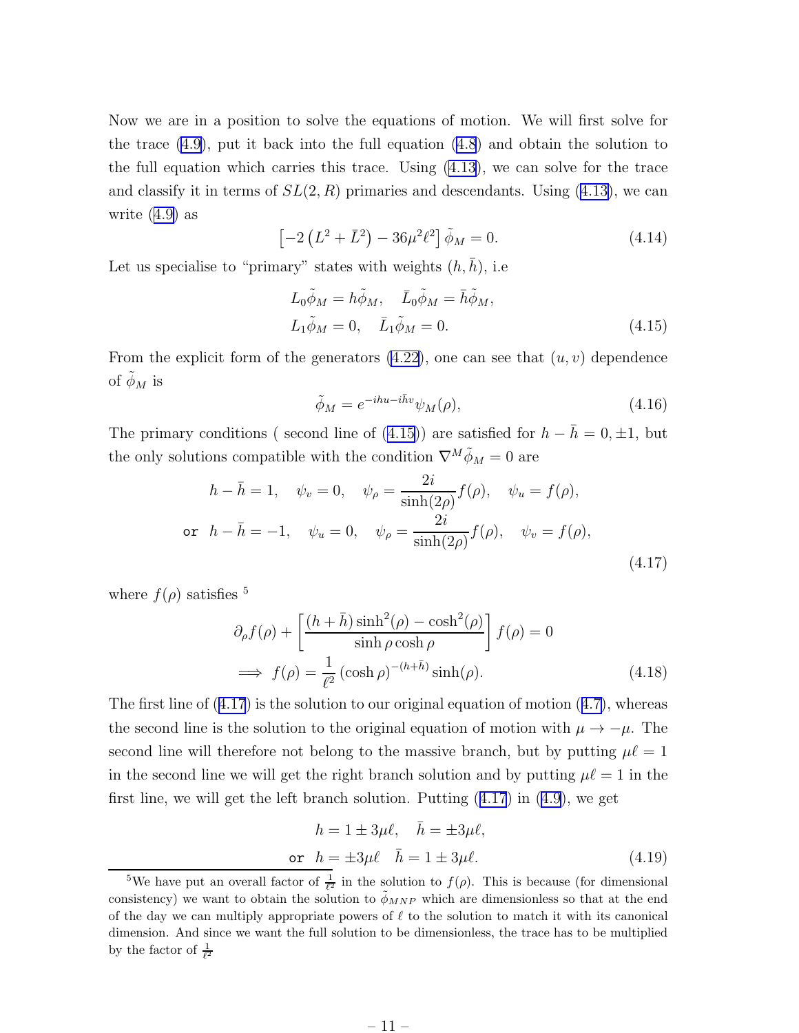<span id="page-12-0"></span>Now we are in a position to solve the equations of motion. We will first solve for the trace [\(4.9](#page-11-0)), put it back into the full equation [\(4.8](#page-11-0)) and obtain the solution to the full equation which carries this trace. Using  $(4.13)$ , we can solve for the trace and classify it in terms of  $SL(2, R)$  primaries and descendants. Using [\(4.13\)](#page-11-0), we can write([4.9\)](#page-11-0) as

$$
\[ -2\left(L^2 + \bar{L}^2\right) - 36\mu^2 \ell^2 \] \tilde{\phi}_M = 0. \tag{4.14}
$$

Let us specialise to "primary" states with weights  $(h, h)$ , i.e.

$$
L_0 \tilde{\phi}_M = h \tilde{\phi}_M, \quad \bar{L}_0 \tilde{\phi}_M = \bar{h} \tilde{\phi}_M,
$$
  

$$
L_1 \tilde{\phi}_M = 0, \quad \bar{L}_1 \tilde{\phi}_M = 0.
$$
 (4.15)

From the explicit form of the generators  $(4.22)$ , one can see that  $(u, v)$  dependence of  $\phi_M$  is

$$
\tilde{\phi}_M = e^{-ihu - i\bar{h}v} \psi_M(\rho),\tag{4.16}
$$

The primary conditions ( second line of (4.15)) are satisfied for  $h - \bar{h} = 0, \pm 1$ , but the only solutions compatible with the condition  $\nabla^M \tilde{\phi}_M = 0$  are

$$
h - \bar{h} = 1, \quad \psi_v = 0, \quad \psi_\rho = \frac{2i}{\sinh(2\rho)} f(\rho), \quad \psi_u = f(\rho),
$$
  
or  $h - \bar{h} = -1, \quad \psi_u = 0, \quad \psi_\rho = \frac{2i}{\sinh(2\rho)} f(\rho), \quad \psi_v = f(\rho),$  (4.17)

where  $f(\rho)$  satisfies <sup>5</sup>

$$
\partial_{\rho} f(\rho) + \left[ \frac{(h + \bar{h}) \sinh^2(\rho) - \cosh^2(\rho)}{\sinh \rho \cosh \rho} \right] f(\rho) = 0
$$
  

$$
\implies f(\rho) = \frac{1}{\ell^2} (\cosh \rho)^{-(h + \bar{h})} \sinh(\rho).
$$
 (4.18)

The first line of  $(4.17)$  is the solution to our original equation of motion  $(4.7)$  $(4.7)$ , whereas the second line is the solution to the original equation of motion with  $\mu \to -\mu$ . The second line will therefore not belong to the massive branch, but by putting  $\mu\ell = 1$ in the second line we will get the right branch solution and by putting  $\mu\ell = 1$  in the first line, we will get the left branch solution. Putting (4.17) in([4.9\)](#page-11-0), we get

$$
h = 1 \pm 3\mu\ell, \quad \bar{h} = \pm 3\mu\ell,
$$
  
or 
$$
h = \pm 3\mu\ell \quad \bar{h} = 1 \pm 3\mu\ell.
$$
 (4.19)

<sup>&</sup>lt;sup>5</sup>We have put an overall factor of  $\frac{1}{\ell^2}$  in the solution to  $f(\rho)$ . This is because (for dimensional consistency) we want to obtain the solution to  $\phi_{MNP}$  which are dimensionless so that at the end of the day we can multiply appropriate powers of  $\ell$  to the solution to match it with its canonical dimension. And since we want the full solution to be dimensionless, the trace has to be multiplied by the factor of  $\frac{1}{\ell^2}$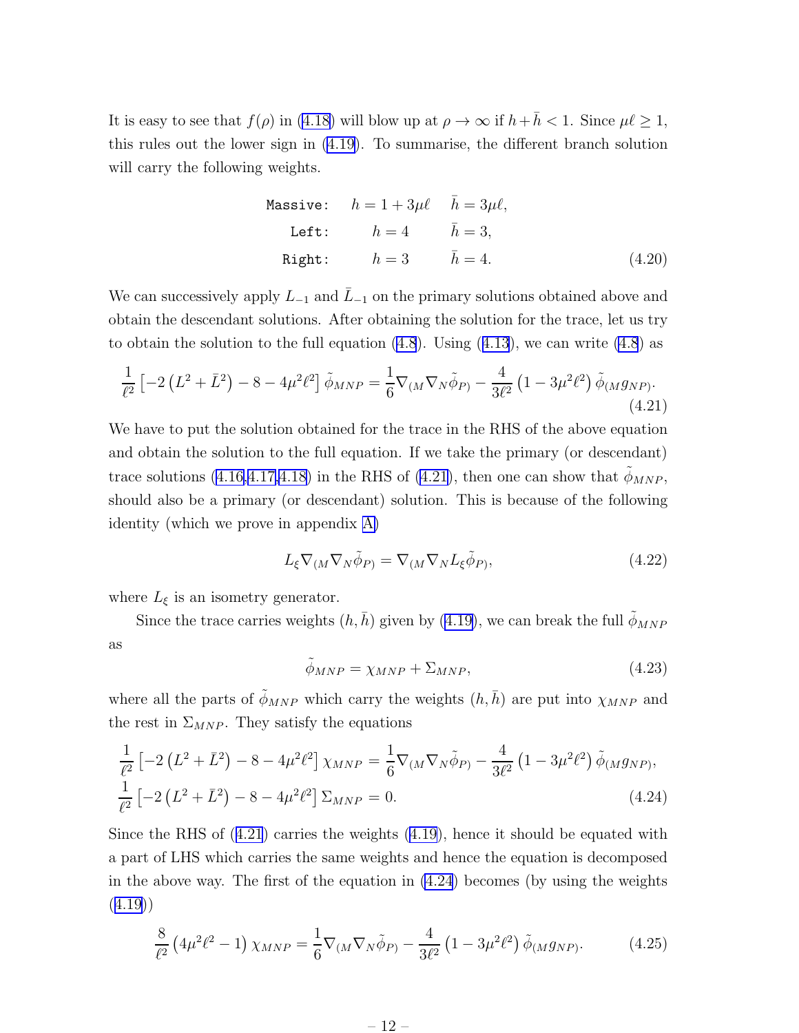<span id="page-13-0"></span>Itis easy to see that  $f(\rho)$  in ([4.18\)](#page-12-0) will blow up at  $\rho \to \infty$  if  $h + \bar{h} < 1$ . Since  $\mu \ell \geq 1$ , this rules out the lower sign in([4.19\)](#page-12-0). To summarise, the different branch solution will carry the following weights.

Massive: 
$$
h = 1 + 3\mu\ell
$$
  $\bar{h} = 3\mu\ell$ ,  
Left:  $h = 4$   $\bar{h} = 3$ ,  
Right:  $h = 3$   $\bar{h} = 4$ . (4.20)

We can successively apply  $L_{-1}$  and  $\overline{L}_{-1}$  on the primary solutions obtained above and obtain the descendant solutions. After obtaining the solution for the trace, let us try toobtain the solution to the full equation  $(4.8)$ . Using  $(4.13)$  $(4.13)$  $(4.13)$ , we can write  $(4.8)$  as

$$
\frac{1}{\ell^2} \left[ -2 \left( L^2 + \bar{L}^2 \right) - 8 - 4\mu^2 \ell^2 \right] \tilde{\phi}_{MNP} = \frac{1}{6} \nabla_{(M} \nabla_N \tilde{\phi}_P) - \frac{4}{3\ell^2} \left( 1 - 3\mu^2 \ell^2 \right) \tilde{\phi}_{(M} g_{NP)}.
$$
\n(4.21)

We have to put the solution obtained for the trace in the RHS of the above equation and obtain the solution to the full equation. If we take the primary (or descendant) tracesolutions ([4.16,4.17,4.18\)](#page-12-0) in the RHS of (4.21), then one can show that  $\tilde{\phi}_{MNP}$ , should also be a primary (or descendant) solution. This is because of the following identity (which we prove in appendix [A\)](#page-28-0)

$$
L_{\xi} \nabla_{(M} \nabla_{N} \tilde{\phi}_{P)} = \nabla_{(M} \nabla_{N} L_{\xi} \tilde{\phi}_{P)},
$$
\n(4.22)

where  $L_{\xi}$  is an isometry generator.

Since the trace carries weights  $(h, \bar{h})$  given by [\(4.19](#page-12-0)), we can break the full  $\tilde{\phi}_{MNP}$ as

$$
\tilde{\phi}_{MNP} = \chi_{MNP} + \Sigma_{MNP},\tag{4.23}
$$

where all the parts of  $\tilde{\phi}_{MNP}$  which carry the weights  $(h, \bar{h})$  are put into  $\chi_{MNP}$  and the rest in  $\Sigma_{MNP}$ . They satisfy the equations

$$
\frac{1}{\ell^2} \left[ -2 \left( L^2 + \bar{L}^2 \right) - 8 - 4\mu^2 \ell^2 \right] \chi_{MNP} = \frac{1}{6} \nabla_{(M} \nabla_N \tilde{\phi}_{P)} - \frac{4}{3\ell^2} \left( 1 - 3\mu^2 \ell^2 \right) \tilde{\phi}_{(M} g_{NP)},
$$
\n
$$
\frac{1}{\ell^2} \left[ -2 \left( L^2 + \bar{L}^2 \right) - 8 - 4\mu^2 \ell^2 \right] \Sigma_{MNP} = 0.
$$
\n(4.24)

Since the RHS of (4.21) carries the weights [\(4.19](#page-12-0)), hence it should be equated with a part of LHS which carries the same weights and hence the equation is decomposed in the above way. The first of the equation in (4.24) becomes (by using the weights ([4.19\)](#page-12-0))

$$
\frac{8}{\ell^2} \left( 4\mu^2 \ell^2 - 1 \right) \chi_{MNP} = \frac{1}{6} \nabla_{(M} \nabla_N \tilde{\phi}_{P)} - \frac{4}{3\ell^2} \left( 1 - 3\mu^2 \ell^2 \right) \tilde{\phi}_{(M} g_{NP)}.
$$
 (4.25)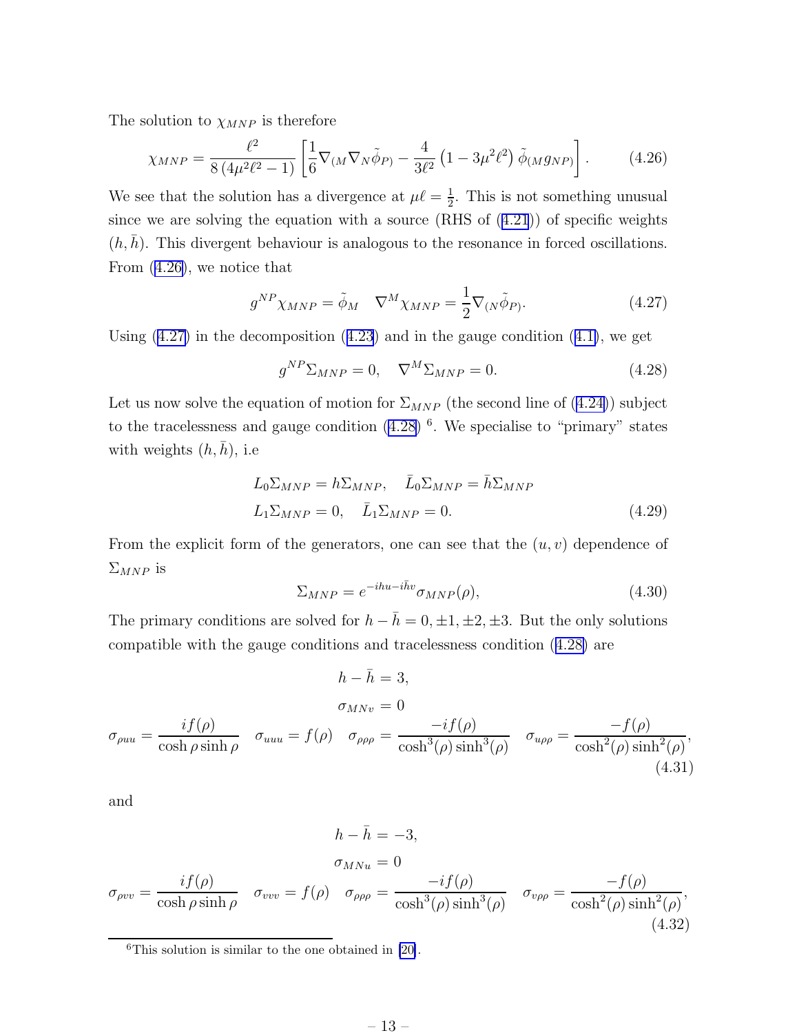<span id="page-14-0"></span>The solution to  $\chi_{MNP}$  is therefore

$$
\chi_{MNP} = \frac{\ell^2}{8(4\mu^2 \ell^2 - 1)} \left[ \frac{1}{6} \nabla_{(M} \nabla_{N} \tilde{\phi}_{P)} - \frac{4}{3\ell^2} \left( 1 - 3\mu^2 \ell^2 \right) \tilde{\phi}_{(M} g_{NP)} \right]. \tag{4.26}
$$

We see that the solution has a divergence at  $\mu \ell = \frac{1}{2}$  $\frac{1}{2}$ . This is not something unusual since we are solving the equation with a source (RHS of([4.21](#page-13-0))) of specific weights  $(h, \bar{h})$ . This divergent behaviour is analogous to the resonance in forced oscillations. From (4.26), we notice that

$$
g^{NP}\chi_{MNP} = \tilde{\phi}_M \quad \nabla^M \chi_{MNP} = \frac{1}{2} \nabla_{(N} \tilde{\phi}_P). \tag{4.27}
$$

Using $(4.27)$  in the decomposition  $(4.23)$  $(4.23)$  $(4.23)$  and in the gauge condition  $(4.1)$  $(4.1)$ , we get

$$
g^{NP} \Sigma_{MNP} = 0, \quad \nabla^M \Sigma_{MNP} = 0. \tag{4.28}
$$

Letus now solve the equation of motion for  $\Sigma_{MNP}$  (the second line of ([4.24\)](#page-13-0)) subject to the tracelessness and gauge condition  $(4.28)$ <sup>6</sup>. We specialise to "primary" states with weights  $(h, \bar{h})$ , i.e

$$
L_0 \Sigma_{MNP} = h \Sigma_{MNP}, \quad \bar{L}_0 \Sigma_{MNP} = \bar{h} \Sigma_{MNP}
$$
  

$$
L_1 \Sigma_{MNP} = 0, \quad \bar{L}_1 \Sigma_{MNP} = 0.
$$
 (4.29)

From the explicit form of the generators, one can see that the  $(u, v)$  dependence of  $\Sigma_{MNP}$  is

$$
\Sigma_{MNP} = e^{-ihu - i\bar{h}v} \sigma_{MNP}(\rho), \tag{4.30}
$$

The primary conditions are solved for  $h - \bar{h} = 0, \pm 1, \pm 2, \pm 3$ . But the only solutions compatible with the gauge conditions and tracelessness condition  $(4.28)$  are

$$
h - \bar{h} = 3,
$$
  
\n
$$
\sigma_{MNv} = 0
$$
  
\n
$$
\sigma_{\rho\mu\nu} = \frac{if(\rho)}{\cosh \rho \sinh \rho} \quad \sigma_{uuu} = f(\rho) \quad \sigma_{\rho\rho\rho} = \frac{-if(\rho)}{\cosh^3(\rho)\sinh^3(\rho)} \quad \sigma_{u\rho\rho} = \frac{-f(\rho)}{\cosh^2(\rho)\sinh^2(\rho)},
$$
\n(4.31)

and

$$
h - \bar{h} = -3,
$$
  
\n
$$
\sigma_{MNu} = 0
$$
  
\n
$$
\sigma_{\rho\nu v} = \frac{if(\rho)}{\cosh \rho \sinh \rho} \quad \sigma_{vvv} = f(\rho) \quad \sigma_{\rho\rho\rho} = \frac{-if(\rho)}{\cosh^3(\rho)\sinh^3(\rho)} \quad \sigma_{v\rho\rho} = \frac{-f(\rho)}{\cosh^2(\rho)\sinh^2(\rho)},
$$
\n(4.32)

 $6$ This solution is similar to the one obtained in [\[20\]](#page-33-0).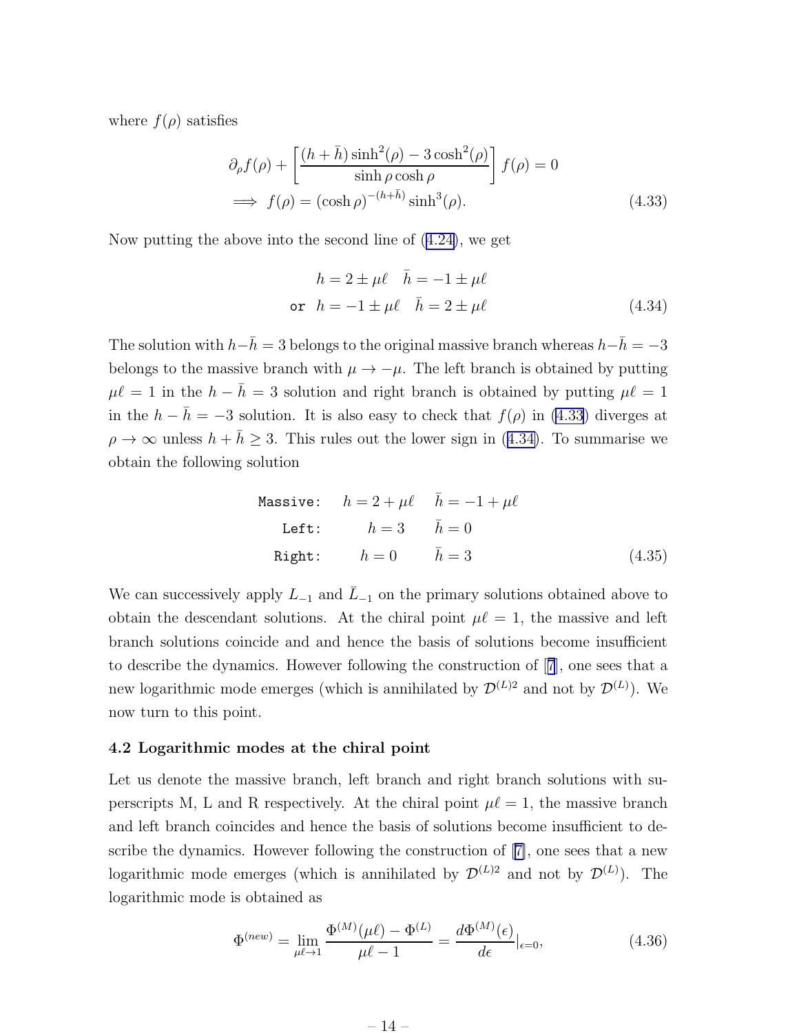<span id="page-15-0"></span>where  $f(\rho)$  satisfies

$$
\partial_{\rho} f(\rho) + \left[ \frac{(h + \bar{h}) \sinh^2(\rho) - 3 \cosh^2(\rho)}{\sinh \rho \cosh \rho} \right] f(\rho) = 0
$$
  

$$
\implies f(\rho) = (\cosh \rho)^{-(h + \bar{h})} \sinh^3(\rho).
$$
 (4.33)

Now putting the above into the second line of([4.24\)](#page-13-0), we get

$$
h = 2 \pm \mu \ell \quad \bar{h} = -1 \pm \mu \ell
$$
  
or 
$$
h = -1 \pm \mu \ell \quad \bar{h} = 2 \pm \mu \ell
$$
 (4.34)

The solution with  $h-\bar{h}=3$  belongs to the original massive branch whereas  $h-\bar{h}=-3$ belongs to the massive branch with  $\mu \to -\mu$ . The left branch is obtained by putting  $\mu \ell = 1$  in the  $h - \bar{h} = 3$  solution and right branch is obtained by putting  $\mu \ell = 1$ in the  $h - \bar{h} = -3$  solution. It is also easy to check that  $f(\rho)$  in (4.33) diverges at  $\rho \to \infty$  unless  $h + \bar{h} \geq 3$ . This rules out the lower sign in (4.34). To summarise we obtain the following solution

Massive: 
$$
h = 2 + \mu \ell
$$
  $\bar{h} = -1 + \mu \ell$   
\nLeft:  $h = 3$   $\bar{h} = 0$   
\nRight:  $h = 0$   $\bar{h} = 3$  (4.35)

We can successively apply  $L_{-1}$  and  $\overline{L}_{-1}$  on the primary solutions obtained above to obtain the descendant solutions. At the chiral point  $\mu \ell = 1$ , the massive and left branch solutions coincide and and hence the basis of solutions become insufficient to describe the dynamics. However following the construction of[[7](#page-32-0)], one sees that a new logarithmic mode emerges (which is annihilated by  $\mathcal{D}^{(L)2}$  and not by  $\mathcal{D}^{(L)}$ ). We now turn to this point.

#### 4.2 Logarithmic modes at the chiral point

Let us denote the massive branch, left branch and right branch solutions with superscripts M, L and R respectively. At the chiral point  $\mu \ell = 1$ , the massive branch and left branch coincides and hence the basis of solutions become insufficient to describe the dynamics. However following the construction of[[7\]](#page-32-0), one sees that a new logarithmic mode emerges (which is annihilated by  $\mathcal{D}^{(L)2}$  and not by  $\mathcal{D}^{(L)}$ ). The logarithmic mode is obtained as

$$
\Phi^{(new)} = \lim_{\mu \ell \to 1} \frac{\Phi^{(M)}(\mu \ell) - \Phi^{(L)}}{\mu \ell - 1} = \frac{d\Phi^{(M)}(\epsilon)}{d\epsilon}|_{\epsilon = 0},
$$
\n(4.36)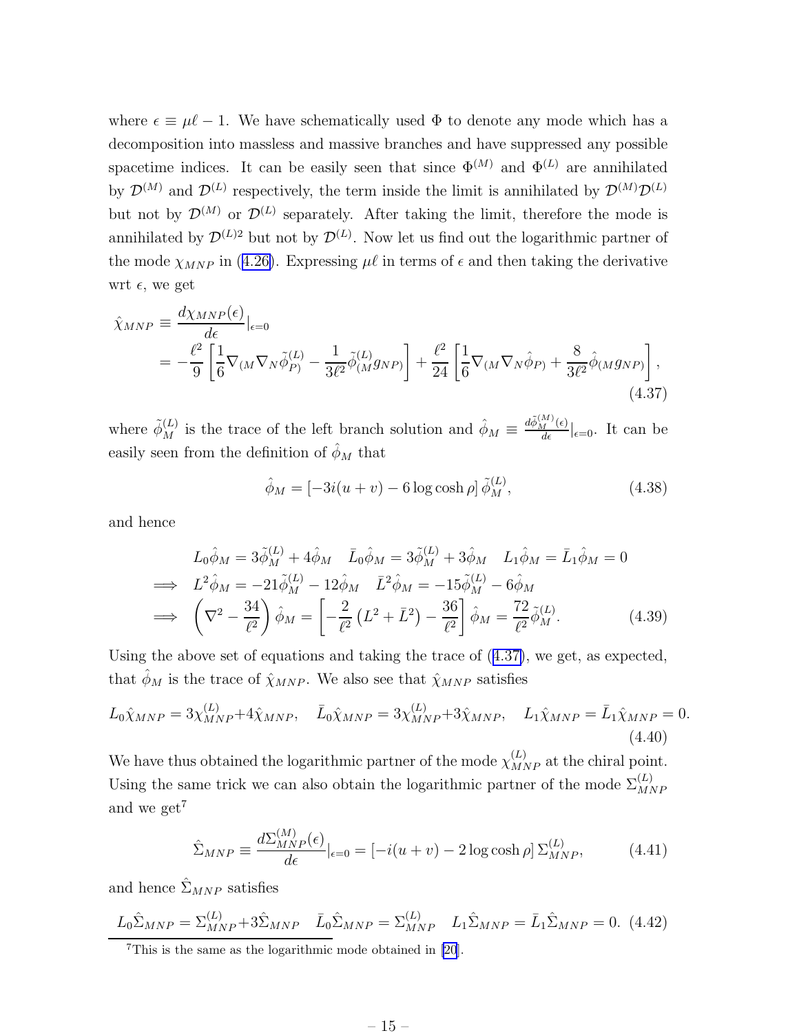<span id="page-16-0"></span>where  $\epsilon \equiv \mu \ell - 1$ . We have schematically used  $\Phi$  to denote any mode which has a decomposition into massless and massive branches and have suppressed any possible spacetime indices. It can be easily seen that since  $\Phi^{(M)}$  and  $\Phi^{(L)}$  are annihilated by  $\mathcal{D}^{(M)}$  and  $\mathcal{D}^{(L)}$  respectively, the term inside the limit is annihilated by  $\mathcal{D}^{(M)}\mathcal{D}^{(L)}$ but not by  $\mathcal{D}^{(M)}$  or  $\mathcal{D}^{(L)}$  separately. After taking the limit, therefore the mode is annihilated by  $\mathcal{D}^{(L)2}$  but not by  $\mathcal{D}^{(L)}$ . Now let us find out the logarithmic partner of themode  $\chi_{MNP}$  in ([4.26\)](#page-14-0). Expressing  $\mu\ell$  in terms of  $\epsilon$  and then taking the derivative wrt  $\epsilon$ , we get

$$
\hat{\chi}_{MNP} \equiv \frac{d\chi_{MNP}(\epsilon)}{d\epsilon}|_{\epsilon=0}
$$
\n
$$
= -\frac{\ell^2}{9} \left[ \frac{1}{6} \nabla_{(M} \nabla_N \tilde{\phi}_{P)}^{(L)} - \frac{1}{3\ell^2} \tilde{\phi}_{(M}^{(L)} g_{NP)} \right] + \frac{\ell^2}{24} \left[ \frac{1}{6} \nabla_{(M} \nabla_N \hat{\phi}_{P)} + \frac{8}{3\ell^2} \hat{\phi}_{(M} g_{NP)} \right],
$$
\n(4.37)

where  $\tilde{\phi}_{M}^{(L)}$  is the trace of the left branch solution and  $\hat{\phi}_{M} \equiv \frac{d\tilde{\phi}_{M}^{(M)}(\epsilon)}{d\epsilon}|_{\epsilon=0}$ . It can be easily seen from the definition of  $\hat{\phi}_M$  that

$$
\hat{\phi}_M = \left[ -3i(u+v) - 6\log\cosh\rho \right] \tilde{\phi}_M^{(L)},\tag{4.38}
$$

and hence

$$
L_0 \hat{\phi}_M = 3 \tilde{\phi}_M^{(L)} + 4 \hat{\phi}_M \quad \bar{L}_0 \hat{\phi}_M = 3 \tilde{\phi}_M^{(L)} + 3 \hat{\phi}_M \quad L_1 \hat{\phi}_M = \bar{L}_1 \hat{\phi}_M = 0
$$
  
\n
$$
\implies L^2 \hat{\phi}_M = -21 \tilde{\phi}_M^{(L)} - 12 \hat{\phi}_M \quad \bar{L}^2 \hat{\phi}_M = -15 \tilde{\phi}_M^{(L)} - 6 \hat{\phi}_M
$$
  
\n
$$
\implies \left( \nabla^2 - \frac{34}{\ell^2} \right) \hat{\phi}_M = \left[ -\frac{2}{\ell^2} \left( L^2 + \bar{L}^2 \right) - \frac{36}{\ell^2} \right] \hat{\phi}_M = \frac{72}{\ell^2} \tilde{\phi}_M^{(L)}.
$$
 (4.39)

Using the above set of equations and taking the trace of (4.37), we get, as expected, that  $\hat{\phi}_M$  is the trace of  $\hat{\chi}_{MNP}$ . We also see that  $\hat{\chi}_{MNP}$  satisfies

$$
L_0\hat{\chi}_{MNP} = 3\chi_{MNP}^{(L)} + 4\hat{\chi}_{MNP}, \quad \bar{L}_0\hat{\chi}_{MNP} = 3\chi_{MNP}^{(L)} + 3\hat{\chi}_{MNP}, \quad L_1\hat{\chi}_{MNP} = \bar{L}_1\hat{\chi}_{MNP} = 0.
$$
\n(4.40)

We have thus obtained the logarithmic partner of the mode  $\chi_{MNP}^{(L)}$  at the chiral point. Using the same trick we can also obtain the logarithmic partner of the mode  $\Sigma_{MNF}^{(L)}$ and we get<sup>7</sup>

$$
\hat{\Sigma}_{MNP} \equiv \frac{d\Sigma_{MNP}^{(M)}(\epsilon)}{d\epsilon}|_{\epsilon=0} = [-i(u+v) - 2\log\cosh\rho] \,\Sigma_{MNP}^{(L)},\tag{4.41}
$$

and hence  $\hat{\Sigma}_{MNP}$  satisfies

$$
\underline{L_0 \hat{\Sigma}_{MNP}} = \Sigma_{MNP}^{(L)} + 3\hat{\Sigma}_{MNP} \quad \bar{L}_0 \hat{\Sigma}_{MNP} = \Sigma_{MNP}^{(L)} \quad L_1 \hat{\Sigma}_{MNP} = \bar{L}_1 \hat{\Sigma}_{MNP} = 0. \tag{4.42}
$$

<sup>7</sup>This is the same as the logarithmic mode obtained in [\[20](#page-33-0)].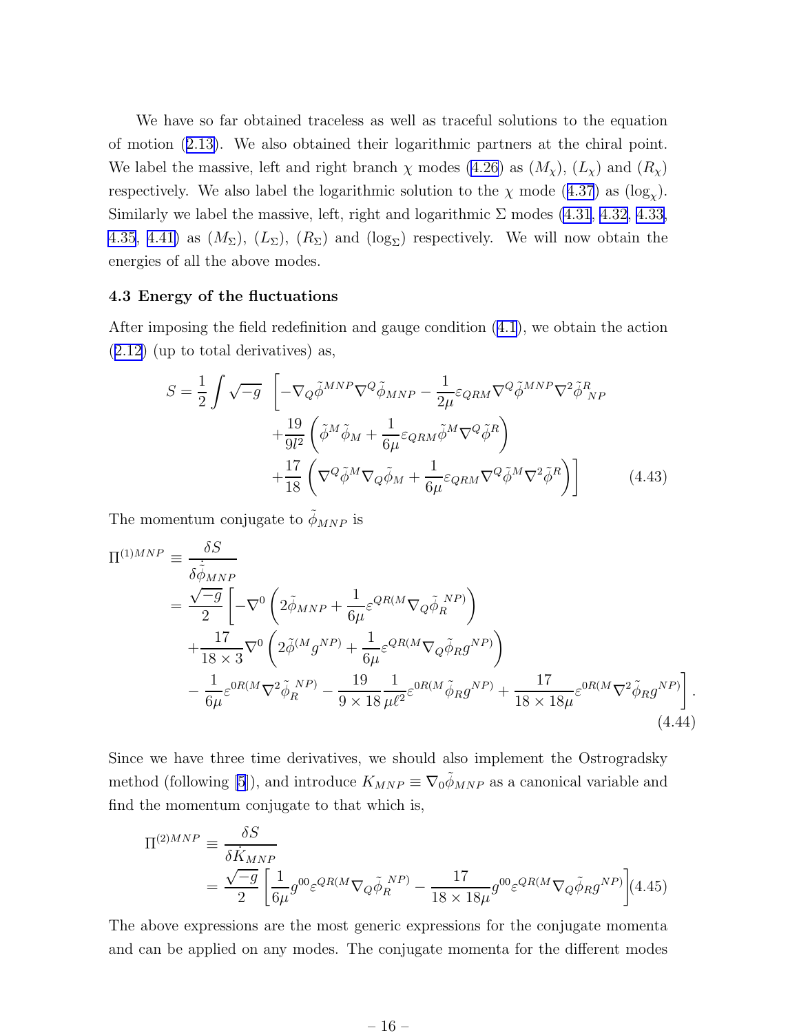<span id="page-17-0"></span>We have so far obtained traceless as well as traceful solutions to the equation of motion([2.13\)](#page-7-0). We also obtained their logarithmic partners at the chiral point. We label the massive, left and right branch  $\chi$  modes [\(4.26](#page-14-0)) as  $(M_{\chi})$ ,  $(L_{\chi})$  and  $(R_{\chi})$ respectively.We also label the logarithmic solution to the  $\chi$  mode ([4.37](#page-16-0)) as (log<sub> $\chi$ </sub>). Similarly we label the massive, left, right and logarithmic  $\Sigma$  modes [\(4.31](#page-14-0), [4.32,](#page-14-0) [4.33,](#page-15-0) [4.35](#page-15-0), [4.41\)](#page-16-0) as  $(M_{\Sigma})$ ,  $(L_{\Sigma})$ ,  $(R_{\Sigma})$  and  $(\log_{\Sigma})$  respectively. We will now obtain the energies of all the above modes.

#### 4.3 Energy of the fluctuations

After imposing the field redefinition and gauge condition [\(4.1](#page-10-0)), we obtain the action ([2.12\)](#page-7-0) (up to total derivatives) as,

$$
S = \frac{1}{2} \int \sqrt{-g} \left[ -\nabla_{Q} \tilde{\phi}^{MNP} \nabla^{Q} \tilde{\phi}_{MNP} - \frac{1}{2\mu} \varepsilon_{QRM} \nabla^{Q} \tilde{\phi}^{MNP} \nabla^{2} \tilde{\phi}_{NP}^{R} \right. \\
\left. + \frac{19}{9l^{2}} \left( \tilde{\phi}^{M} \tilde{\phi}_{M} + \frac{1}{6\mu} \varepsilon_{QRM} \tilde{\phi}^{M} \nabla^{Q} \tilde{\phi}^{R} \right) \\
+ \frac{17}{18} \left( \nabla^{Q} \tilde{\phi}^{M} \nabla_{Q} \tilde{\phi}_{M} + \frac{1}{6\mu} \varepsilon_{QRM} \nabla^{Q} \tilde{\phi}^{M} \nabla^{2} \tilde{\phi}^{R} \right) \right]
$$
(4.43)

The momentum conjugate to  $\tilde{\phi}_{MNP}$  is

$$
\Pi^{(1)MNP} = \frac{\delta S}{\delta \tilde{\phi}_{MNP}} \n= \frac{\sqrt{-g}}{2} \left[ -\nabla^0 \left( 2\tilde{\phi}_{MNP} + \frac{1}{6\mu} \varepsilon^{QR(M} \nabla_Q \tilde{\phi}_R^{NP}) \right) \right. \n+ \frac{17}{18 \times 3} \nabla^0 \left( 2\tilde{\phi}^{(M} g^{NP}) + \frac{1}{6\mu} \varepsilon^{QR(M} \nabla_Q \tilde{\phi}_R g^{NP}) \right) \n- \frac{1}{6\mu} \varepsilon^{OR(M} \nabla^2 \tilde{\phi}_R^{NP)} - \frac{19}{9 \times 18} \frac{1}{\mu \ell^2} \varepsilon^{OR(M} \tilde{\phi}_R g^{NP}) + \frac{17}{18 \times 18\mu} \varepsilon^{OR(M} \nabla^2 \tilde{\phi}_R g^{NP}) \right].
$$
\n(4.44)

Since we have three time derivatives, we should also implement the Ostrogradsky method (following [\[5](#page-31-0)]), and introduce  $K_{MNP} \equiv \nabla_0 \tilde{\phi}_{MNP}$  as a canonical variable and find the momentum conjugate to that which is,

$$
\Pi^{(2)MNP} = \frac{\delta S}{\delta \dot{K}_{MNP}} \n= \frac{\sqrt{-g}}{2} \left[ \frac{1}{6\mu} g^{00} \varepsilon^{QR(M} \nabla_Q \tilde{\phi}_R{}^{NP)} - \frac{17}{18 \times 18\mu} g^{00} \varepsilon^{QR(M} \nabla_Q \tilde{\phi}_R g^{NP)} \right] (4.45)
$$

The above expressions are the most generic expressions for the conjugate momenta and can be applied on any modes. The conjugate momenta for the different modes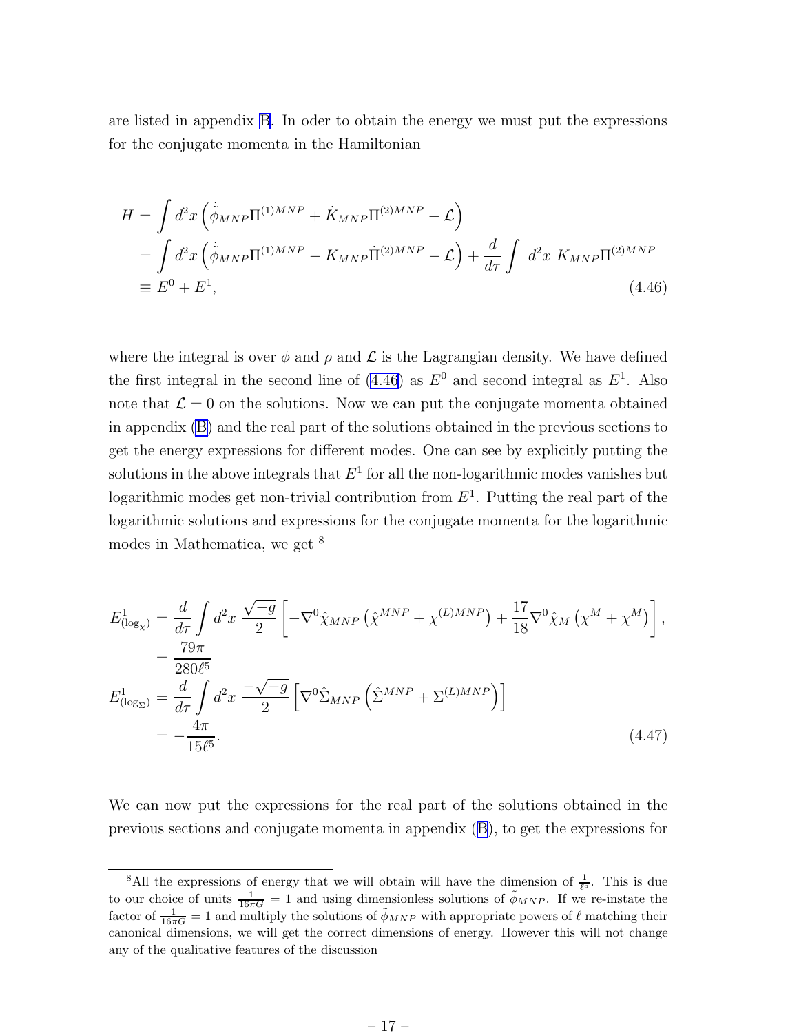<span id="page-18-0"></span>are listed in appendix [B](#page-29-0). In oder to obtain the energy we must put the expressions for the conjugate momenta in the Hamiltonian

$$
H = \int d^2x \left( \dot{\tilde{\phi}}_{MNP} \Pi^{(1)MNP} + \dot{K}_{MNP} \Pi^{(2)MNP} - \mathcal{L} \right)
$$
  
= 
$$
\int d^2x \left( \dot{\tilde{\phi}}_{MNP} \Pi^{(1)MNP} - K_{MNP} \dot{\Pi}^{(2)MNP} - \mathcal{L} \right) + \frac{d}{d\tau} \int d^2x K_{MNP} \Pi^{(2)MNP}
$$
  
\equiv  $E^0 + E^1$ , (4.46)

where the integral is over  $\phi$  and  $\rho$  and  $\mathcal L$  is the Lagrangian density. We have defined the first integral in the second line of  $(4.46)$  as  $E^0$  and second integral as  $E^1$ . Also note that  $\mathcal{L} = 0$  on the solutions. Now we can put the conjugate momenta obtained in appendix [\(B\)](#page-29-0) and the real part of the solutions obtained in the previous sections to get the energy expressions for different modes. One can see by explicitly putting the solutions in the above integrals that  $E^1$  for all the non-logarithmic modes vanishes but logarithmic modes get non-trivial contribution from  $E^1$ . Putting the real part of the logarithmic solutions and expressions for the conjugate momenta for the logarithmic modes in Mathematica, we get <sup>8</sup>

$$
E_{(\log_{\chi})}^{1} = \frac{d}{d\tau} \int d^{2}x \frac{\sqrt{-g}}{2} \left[ -\nabla^{0} \hat{\chi}_{MNP} \left( \hat{\chi}^{MNP} + \chi^{(L)MNP} \right) + \frac{17}{18} \nabla^{0} \hat{\chi}_{M} \left( \chi^{M} + \chi^{M} \right) \right],
$$
  
\n
$$
= \frac{79\pi}{280\ell^{5}}
$$
  
\n
$$
E_{(\log_{\Sigma})}^{1} = \frac{d}{d\tau} \int d^{2}x \frac{-\sqrt{-g}}{2} \left[ \nabla^{0} \hat{\Sigma}_{MNP} \left( \hat{\Sigma}^{MNP} + \Sigma^{(L)MNP} \right) \right]
$$
  
\n
$$
= -\frac{4\pi}{15\ell^{5}}.
$$
\n(4.47)

We can now put the expressions for the real part of the solutions obtained in the previous sections and conjugate momenta in appendix([B\)](#page-29-0), to get the expressions for

<sup>&</sup>lt;sup>8</sup>All the expressions of energy that we will obtain will have the dimension of  $\frac{1}{\ell^5}$ . This is due to our choice of units  $\frac{1}{16\pi G} = 1$  and using dimensionless solutions of  $\phi_{MNP}$ . If we re-instate the factor of  $\frac{1}{16\pi G} = 1$  and multiply the solutions of  $\tilde{\phi}_{MNP}$  with appropriate powers of  $\ell$  matching their canonical dimensions, we will get the correct dimensions of energy. However this will not change any of the qualitative features of the discussion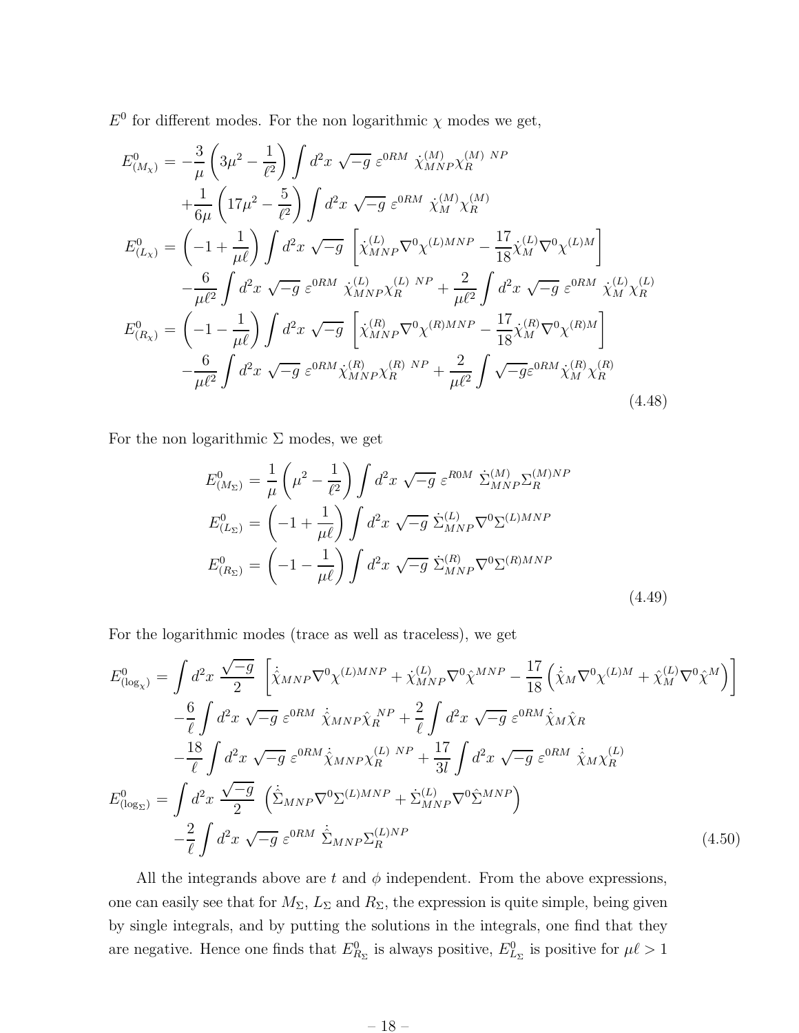$E^0$  for different modes. For the non logarithmic  $\chi$  modes we get,

$$
E_{(M_{\chi})}^{0} = -\frac{3}{\mu} \left( 3\mu^{2} - \frac{1}{\ell^{2}} \right) \int d^{2}x \sqrt{-g} \ \varepsilon^{0RM} \ \dot{\chi}_{MNP}^{(M)} \chi_{R}^{(M)} \ N^{P} + \frac{1}{6\mu} \left( 17\mu^{2} - \frac{5}{\ell^{2}} \right) \int d^{2}x \sqrt{-g} \ \varepsilon^{0RM} \ \dot{\chi}_{M}^{(M)} \chi_{R}^{(M)} E_{(L_{\chi})}^{0} = \left( -1 + \frac{1}{\mu\ell} \right) \int d^{2}x \sqrt{-g} \ \left[ \dot{\chi}_{MNP}^{(L)} \nabla^{0} \chi^{(L)MNP} - \frac{17}{18} \dot{\chi}_{M}^{(L)} \nabla^{0} \chi^{(L)M} \right] - \frac{6}{\mu\ell^{2}} \int d^{2}x \sqrt{-g} \ \varepsilon^{0RM} \ \dot{\chi}_{MNP}^{(L)} \chi_{R}^{(L)} \ N^{P} + \frac{2}{\mu\ell^{2}} \int d^{2}x \sqrt{-g} \ \varepsilon^{0RM} \ \dot{\chi}_{M}^{(L)} \chi_{R}^{(L)} E_{(R_{\chi})}^{0} = \left( -1 - \frac{1}{\mu\ell} \right) \int d^{2}x \sqrt{-g} \ \left[ \dot{\chi}_{MNP}^{(R)} \nabla^{0} \chi^{(R)MNP} - \frac{17}{18} \dot{\chi}_{M}^{(R)} \nabla^{0} \chi^{(R)M} \right] - \frac{6}{\mu\ell^{2}} \int d^{2}x \sqrt{-g} \ \varepsilon^{0RM} \dot{\chi}_{MNP}^{(R)} \chi_{R}^{(R)} \ N^{P} + \frac{2}{\mu\ell^{2}} \int \sqrt{-g} \varepsilon^{0RM} \dot{\chi}_{M}^{(R)} \chi_{R}^{(R)} \tag{4.48}
$$

For the non logarithmic  $\Sigma$  modes, we get

$$
E_{(M_{\Sigma})}^{0} = \frac{1}{\mu} \left( \mu^{2} - \frac{1}{\ell^{2}} \right) \int d^{2}x \sqrt{-g} \ \varepsilon^{ROM} \ \dot{\Sigma}_{MNP}^{(M)} \Sigma_{R}^{(M)NP}
$$

$$
E_{(L_{\Sigma})}^{0} = \left( -1 + \frac{1}{\mu \ell} \right) \int d^{2}x \sqrt{-g} \ \dot{\Sigma}_{MNP}^{(L)} \nabla^{0} \Sigma^{(L)MNP}
$$

$$
E_{(R_{\Sigma})}^{0} = \left( -1 - \frac{1}{\mu \ell} \right) \int d^{2}x \sqrt{-g} \ \dot{\Sigma}_{MNP}^{(R)} \nabla^{0} \Sigma^{(R)MNP}
$$
(4.49)

For the logarithmic modes (trace as well as traceless), we get

$$
E_{(\log_{\chi})}^{0} = \int d^{2}x \frac{\sqrt{-g}}{2} \left[ \dot{\hat{\chi}}_{MNP} \nabla^{0} \chi^{(L)MNP} + \dot{\chi}_{MNP}^{(L)} \nabla^{0} \hat{\chi}^{MNP} - \frac{17}{18} \left( \dot{\hat{\chi}}_{M} \nabla^{0} \chi^{(L)M} + \hat{\chi}_{M}^{(L)} \nabla^{0} \hat{\chi}^{M} \right) \right]
$$

$$
- \frac{6}{\ell} \int d^{2}x \sqrt{-g} \, \varepsilon^{0RM} \, \dot{\hat{\chi}}_{MNP} \hat{\chi}_{R}^{NP} + \frac{2}{\ell} \int d^{2}x \sqrt{-g} \, \varepsilon^{0RM} \dot{\hat{\chi}}_{M}\hat{\chi}_{R}
$$

$$
- \frac{18}{\ell} \int d^{2}x \sqrt{-g} \, \varepsilon^{0RM} \dot{\hat{\chi}}_{MNP} \chi_{R}^{(L)NP} + \frac{17}{3l} \int d^{2}x \sqrt{-g} \, \varepsilon^{0RM} \, \dot{\hat{\chi}}_{M}\chi_{R}^{(L)}
$$

$$
E_{(\log_{\Sigma})}^{0} = \int d^{2}x \frac{\sqrt{-g}}{2} \left( \dot{\hat{\Sigma}}_{MNP} \nabla^{0} \Sigma^{(L)MNP} + \dot{\Sigma}_{MNP}^{(L)} \nabla^{0} \hat{\Sigma}^{MNP} \right)
$$

$$
- \frac{2}{\ell} \int d^{2}x \sqrt{-g} \, \varepsilon^{0RM} \, \dot{\hat{\Sigma}}_{MNP} \Sigma_{R}^{(L)NP}
$$
(4.50)

All the integrands above are t and  $\phi$  independent. From the above expressions, one can easily see that for  $M_{\Sigma}$ ,  $L_{\Sigma}$  and  $R_{\Sigma}$ , the expression is quite simple, being given by single integrals, and by putting the solutions in the integrals, one find that they are negative. Hence one finds that  $E_{R_\Sigma}^0$  is always positive,  $E_{L_\Sigma}^0$  is positive for  $\mu\ell > 1$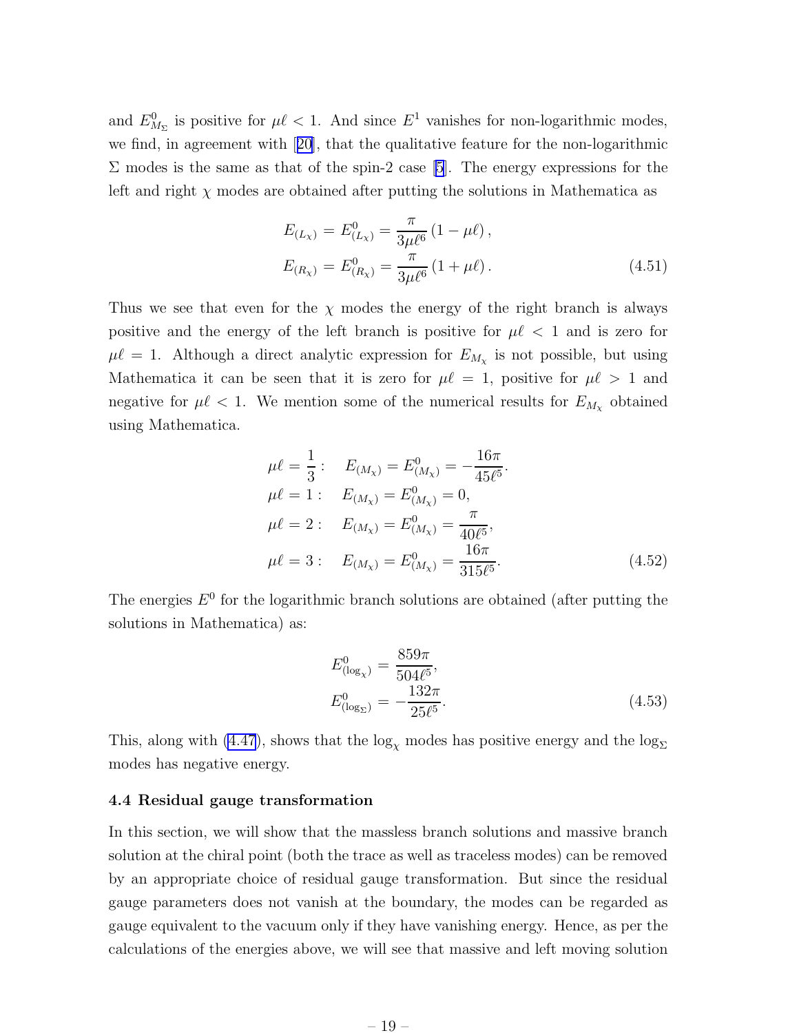<span id="page-20-0"></span>and  $E_{M_{\Sigma}}^{0}$  is positive for  $\mu\ell < 1$ . And since  $E^{1}$  vanishes for non-logarithmic modes, we find, in agreement with[[20](#page-33-0)], that the qualitative feature for the non-logarithmic  $\Sigma$  modes is the same as that of the spin-2 case [\[5](#page-31-0)]. The energy expressions for the left and right  $\chi$  modes are obtained after putting the solutions in Mathematica as

$$
E_{(L_{\chi})} = E_{(L_{\chi})}^{0} = \frac{\pi}{3\mu\ell^{6}} (1 - \mu\ell),
$$
  
\n
$$
E_{(R_{\chi})} = E_{(R_{\chi})}^{0} = \frac{\pi}{3\mu\ell^{6}} (1 + \mu\ell).
$$
\n(4.51)

Thus we see that even for the  $\chi$  modes the energy of the right branch is always positive and the energy of the left branch is positive for  $\mu\ell < 1$  and is zero for  $\mu\ell = 1$ . Although a direct analytic expression for  $E_{M_{\chi}}$  is not possible, but using Mathematica it can be seen that it is zero for  $\mu\ell = 1$ , positive for  $\mu\ell > 1$  and negative for  $\mu \ell < 1$ . We mention some of the numerical results for  $E_{M_{\chi}}$  obtained using Mathematica.

$$
\mu \ell = \frac{1}{3} : E_{(M_{\chi})} = E_{(M_{\chi})}^{0} = -\frac{16\pi}{45\ell^{5}}.
$$
  
\n
$$
\mu \ell = 1 : E_{(M_{\chi})} = E_{(M_{\chi})}^{0} = 0,
$$
  
\n
$$
\mu \ell = 2 : E_{(M_{\chi})} = E_{(M_{\chi})}^{0} = \frac{\pi}{40\ell^{5}},
$$
  
\n
$$
\mu \ell = 3 : E_{(M_{\chi})} = E_{(M_{\chi})}^{0} = \frac{16\pi}{315\ell^{5}}.
$$
\n(4.52)

The energies  $E^0$  for the logarithmic branch solutions are obtained (after putting the solutions in Mathematica) as:

$$
E_{(\log_{\chi})}^{0} = \frac{859\pi}{504\ell^{5}},
$$
  
\n
$$
E_{(\log_{\Sigma})}^{0} = -\frac{132\pi}{25\ell^{5}}.
$$
\n(4.53)

This, along with [\(4.47](#page-18-0)), shows that the  $\log_{\chi}$  modes has positive energy and the  $\log_{\Sigma}$ modes has negative energy.

#### 4.4 Residual gauge transformation

In this section, we will show that the massless branch solutions and massive branch solution at the chiral point (both the trace as well as traceless modes) can be removed by an appropriate choice of residual gauge transformation. But since the residual gauge parameters does not vanish at the boundary, the modes can be regarded as gauge equivalent to the vacuum only if they have vanishing energy. Hence, as per the calculations of the energies above, we will see that massive and left moving solution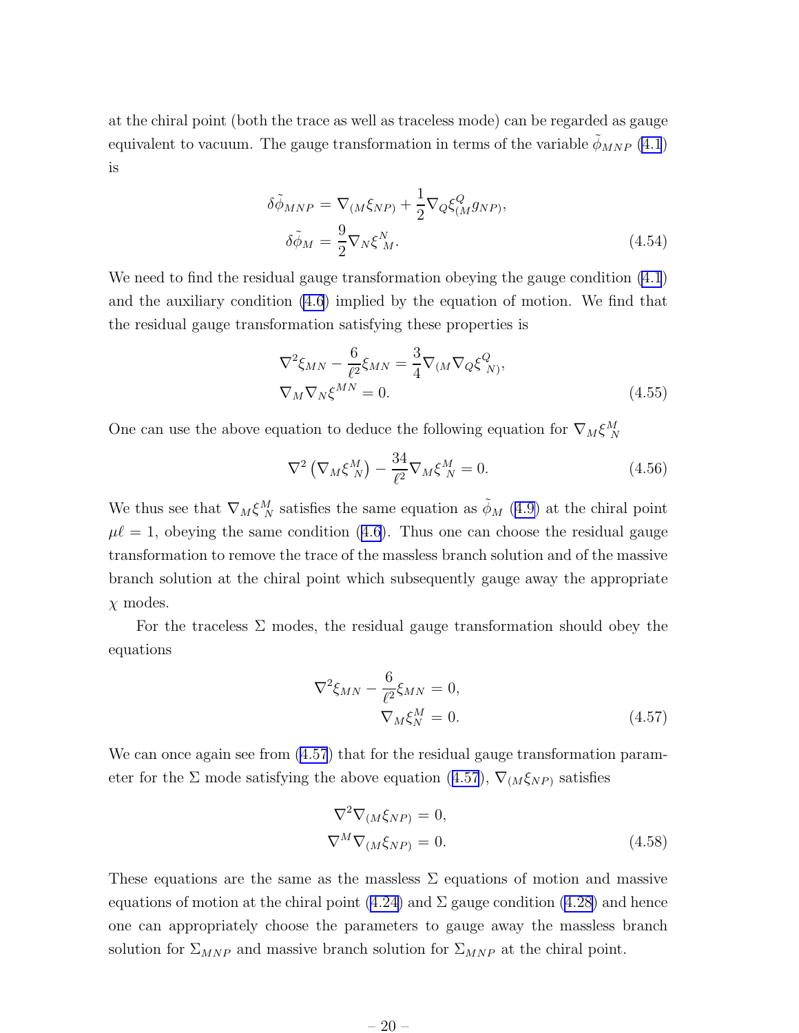at the chiral point (both the trace as well as traceless mode) can be regarded as gauge equivalent to vacuum. The gauge transformation in terms of the variable  $\phi_{MNP}$  [\(4.1](#page-10-0)) is

$$
\delta \tilde{\phi}_{MNP} = \nabla_{(M} \xi_{NP)} + \frac{1}{2} \nabla_Q \xi^Q_{(M} g_{NP)},
$$
  
\n
$$
\delta \tilde{\phi}_M = \frac{9}{2} \nabla_N \xi^N_{M}.
$$
\n(4.54)

We need to find the residual gauge transformation obeying the gauge condition [\(4.1](#page-10-0)) and the auxiliary condition [\(4.6](#page-10-0)) implied by the equation of motion. We find that the residual gauge transformation satisfying these properties is

$$
\nabla^2 \xi_{MN} - \frac{6}{\ell^2} \xi_{MN} = \frac{3}{4} \nabla_{(M} \nabla_Q \xi^Q_{N)},
$$
  
\n
$$
\nabla_M \nabla_N \xi^{MN} = 0.
$$
\n(4.55)

One can use the above equation to deduce the following equation for  $\nabla_M \xi^M_N$ 

$$
\nabla^2 \left( \nabla_M \xi_N^M \right) - \frac{34}{\ell^2} \nabla_M \xi_N^M = 0.
$$
 (4.56)

We thus see that  $\nabla_M \xi_N^M$  satisfies the same equation as  $\tilde{\phi}_M$  ([4.9\)](#page-11-0) at the chiral point  $\mu\ell = 1$ , obeying the same condition [\(4.6](#page-10-0)). Thus one can choose the residual gauge transformation to remove the trace of the massless branch solution and of the massive branch solution at the chiral point which subsequently gauge away the appropriate  $\chi$  modes.

For the traceless  $\Sigma$  modes, the residual gauge transformation should obey the equations

$$
\nabla^2 \xi_{MN} - \frac{6}{\ell^2} \xi_{MN} = 0, \n\nabla_M \xi_N^M = 0.
$$
\n(4.57)

We can once again see from  $(4.57)$  that for the residual gauge transformation parameter for the  $\Sigma$  mode satisfying the above equation (4.57),  $\nabla_{(M}\xi_{NP)}$  satisfies

$$
\nabla^2 \nabla_{(M \xi_{NP})} = 0,
$$
  
\n
$$
\nabla^M \nabla_{(M \xi_{NP})} = 0.
$$
\n(4.58)

These equations are the same as the massless  $\Sigma$  equations of motion and massive equations of motion at the chiral point  $(4.24)$  and  $\Sigma$  gauge condition  $(4.28)$  and hence one can appropriately choose the parameters to gauge away the massless branch solution for  $\Sigma_{MNP}$  and massive branch solution for  $\Sigma_{MNP}$  at the chiral point.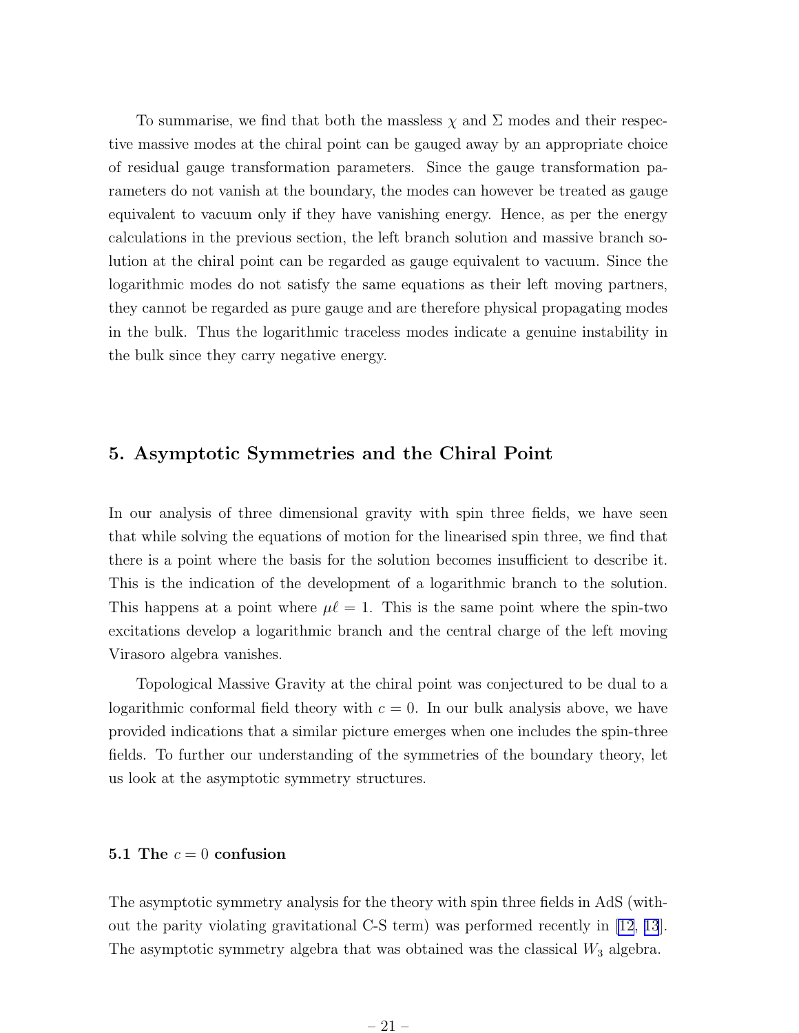<span id="page-22-0"></span>To summarise, we find that both the massless  $\chi$  and  $\Sigma$  modes and their respective massive modes at the chiral point can be gauged away by an appropriate choice of residual gauge transformation parameters. Since the gauge transformation parameters do not vanish at the boundary, the modes can however be treated as gauge equivalent to vacuum only if they have vanishing energy. Hence, as per the energy calculations in the previous section, the left branch solution and massive branch solution at the chiral point can be regarded as gauge equivalent to vacuum. Since the logarithmic modes do not satisfy the same equations as their left moving partners, they cannot be regarded as pure gauge and are therefore physical propagating modes in the bulk. Thus the logarithmic traceless modes indicate a genuine instability in the bulk since they carry negative energy.

#### 5. Asymptotic Symmetries and the Chiral Point

In our analysis of three dimensional gravity with spin three fields, we have seen that while solving the equations of motion for the linearised spin three, we find that there is a point where the basis for the solution becomes insufficient to describe it. This is the indication of the development of a logarithmic branch to the solution. This happens at a point where  $\mu \ell = 1$ . This is the same point where the spin-two excitations develop a logarithmic branch and the central charge of the left moving Virasoro algebra vanishes.

Topological Massive Gravity at the chiral point was conjectured to be dual to a logarithmic conformal field theory with  $c = 0$ . In our bulk analysis above, we have provided indications that a similar picture emerges when one includes the spin-three fields. To further our understanding of the symmetries of the boundary theory, let us look at the asymptotic symmetry structures.

#### 5.1 The  $c = 0$  confusion

The asymptotic symmetry analysis for the theory with spin three fields in AdS (without the parity violating gravitational C-S term) was performed recently in [\[12](#page-32-0), [13](#page-32-0)]. The asymptotic symmetry algebra that was obtained was the classical  $W_3$  algebra.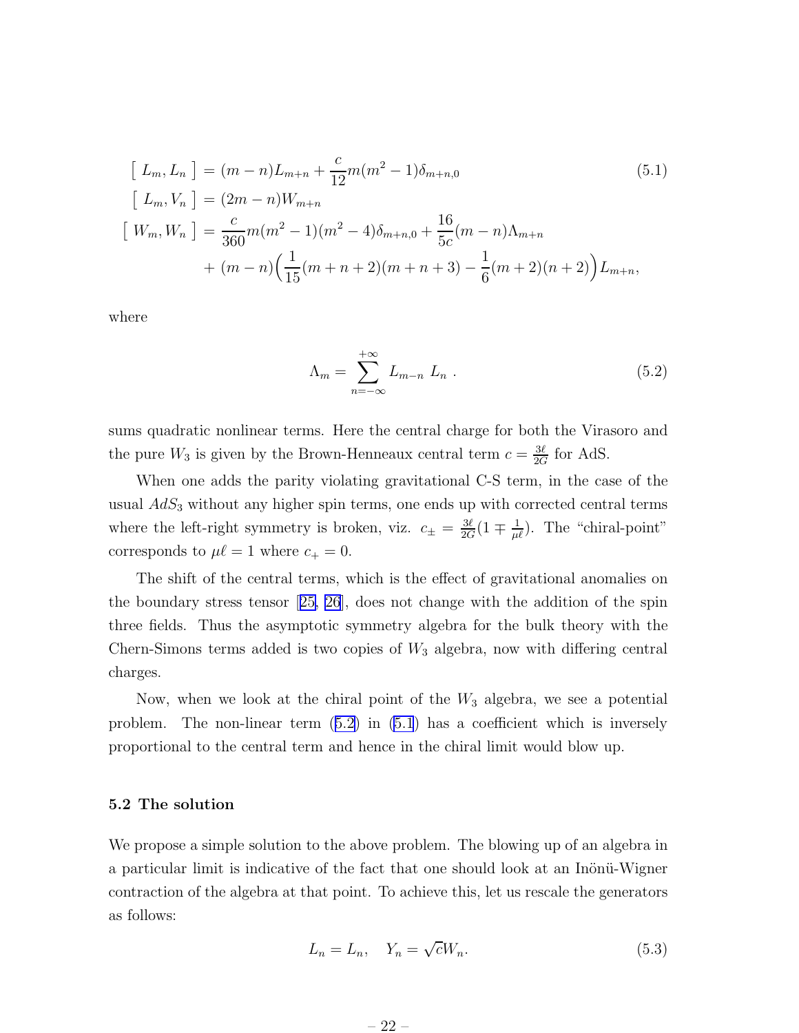<span id="page-23-0"></span>
$$
\begin{aligned}\n\left[L_m, L_n\right] &= (m-n)L_{m+n} + \frac{c}{12}m(m^2 - 1)\delta_{m+n,0} \\
\left[L_m, V_n\right] &= (2m-n)W_{m+n} \\
\left[W_m, W_n\right] &= \frac{c}{360}m(m^2 - 1)(m^2 - 4)\delta_{m+n,0} + \frac{16}{5c}(m-n)\Lambda_{m+n} \\
&\quad + (m-n)\left(\frac{1}{15}(m+n+2)(m+n+3) - \frac{1}{6}(m+2)(n+2)\right)L_{m+n},\n\end{aligned} \tag{5.1}
$$

where

$$
\Lambda_m = \sum_{n=-\infty}^{+\infty} L_{m-n} L_n . \qquad (5.2)
$$

sums quadratic nonlinear terms. Here the central charge for both the Virasoro and the pure  $W_3$  is given by the Brown-Henneaux central term  $c = \frac{3\ell}{2G}$  $\frac{3\ell}{2G}$  for AdS.

When one adds the parity violating gravitational C-S term, in the case of the usual  $AdS<sub>3</sub>$  without any higher spin terms, one ends up with corrected central terms where the left-right symmetry is broken, viz.  $c_{\pm} = \frac{3\ell}{2G}$  $\frac{3\ell}{2G}(1 \mp \frac{1}{\mu\ell})$ . The "chiral-point" corresponds to  $\mu\ell = 1$  where  $c_+ = 0$ .

The shift of the central terms, which is the effect of gravitational anomalies on the boundary stress tensor[[25, 26](#page-33-0)], does not change with the addition of the spin three fields. Thus the asymptotic symmetry algebra for the bulk theory with the Chern-Simons terms added is two copies of  $W_3$  algebra, now with differing central charges.

Now, when we look at the chiral point of the  $W_3$  algebra, we see a potential problem. The non-linear term (5.2) in (5.1) has a coefficient which is inversely proportional to the central term and hence in the chiral limit would blow up.

#### 5.2 The solution

We propose a simple solution to the above problem. The blowing up of an algebra in a particular limit is indicative of the fact that one should look at an Inönü-Wigner contraction of the algebra at that point. To achieve this, let us rescale the generators as follows:

$$
L_n = L_n, \quad Y_n = \sqrt{c}W_n. \tag{5.3}
$$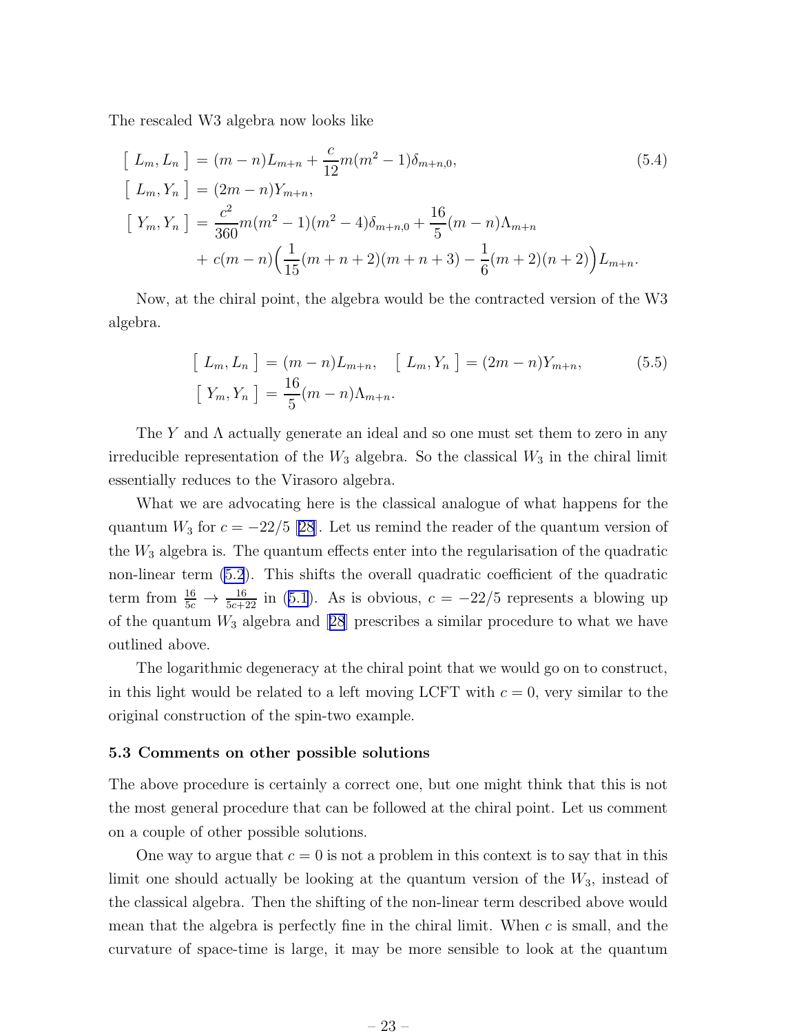<span id="page-24-0"></span>The rescaled W3 algebra now looks like

$$
\begin{aligned}\n\left[L_m, L_n\right] &= (m-n)L_{m+n} + \frac{c}{12}m(m^2-1)\delta_{m+n,0}, \\
\left[L_m, Y_n\right] &= (2m-n)Y_{m+n}, \\
\left[Y_m, Y_n\right] &= \frac{c^2}{360}m(m^2-1)(m^2-4)\delta_{m+n,0} + \frac{16}{5}(m-n)\Lambda_{m+n} \\
&\quad + c(m-n)\left(\frac{1}{15}(m+n+2)(m+n+3) - \frac{1}{6}(m+2)(n+2)\right)L_{m+n}.\n\end{aligned}
$$
\n(5.4)

Now, at the chiral point, the algebra would be the contracted version of the W3 algebra.

$$
\begin{aligned}\n\left[L_m, L_n\right] &= (m-n)L_{m+n}, \quad \left[L_m, Y_n\right] = (2m-n)Y_{m+n}, \\
\left[Y_m, Y_n\right] &= \frac{16}{5}(m-n)\Lambda_{m+n}.\n\end{aligned} \tag{5.5}
$$

The Y and  $\Lambda$  actually generate an ideal and so one must set them to zero in any irreducible representation of the  $W_3$  algebra. So the classical  $W_3$  in the chiral limit essentially reduces to the Virasoro algebra.

What we are advocating here is the classical analogue of what happens for the quantum  $W_3$  for  $c = -22/5$  [\[28\]](#page-33-0). Let us remind the reader of the quantum version of the  $W_3$  algebra is. The quantum effects enter into the regularisation of the quadratic non-linear term [\(5.2](#page-23-0)). This shifts the overall quadratic coefficient of the quadratic term from  $\frac{16}{5c} \rightarrow \frac{16}{5c+22}$  in [\(5.1](#page-23-0)). As is obvious,  $c = -22/5$  represents a blowing up ofthe quantum  $W_3$  algebra and [[28](#page-33-0)] prescribes a similar procedure to what we have outlined above.

The logarithmic degeneracy at the chiral point that we would go on to construct, in this light would be related to a left moving LCFT with  $c = 0$ , very similar to the original construction of the spin-two example.

#### 5.3 Comments on other possible solutions

The above procedure is certainly a correct one, but one might think that this is not the most general procedure that can be followed at the chiral point. Let us comment on a couple of other possible solutions.

One way to argue that  $c = 0$  is not a problem in this context is to say that in this limit one should actually be looking at the quantum version of the  $W_3$ , instead of the classical algebra. Then the shifting of the non-linear term described above would mean that the algebra is perfectly fine in the chiral limit. When  $c$  is small, and the curvature of space-time is large, it may be more sensible to look at the quantum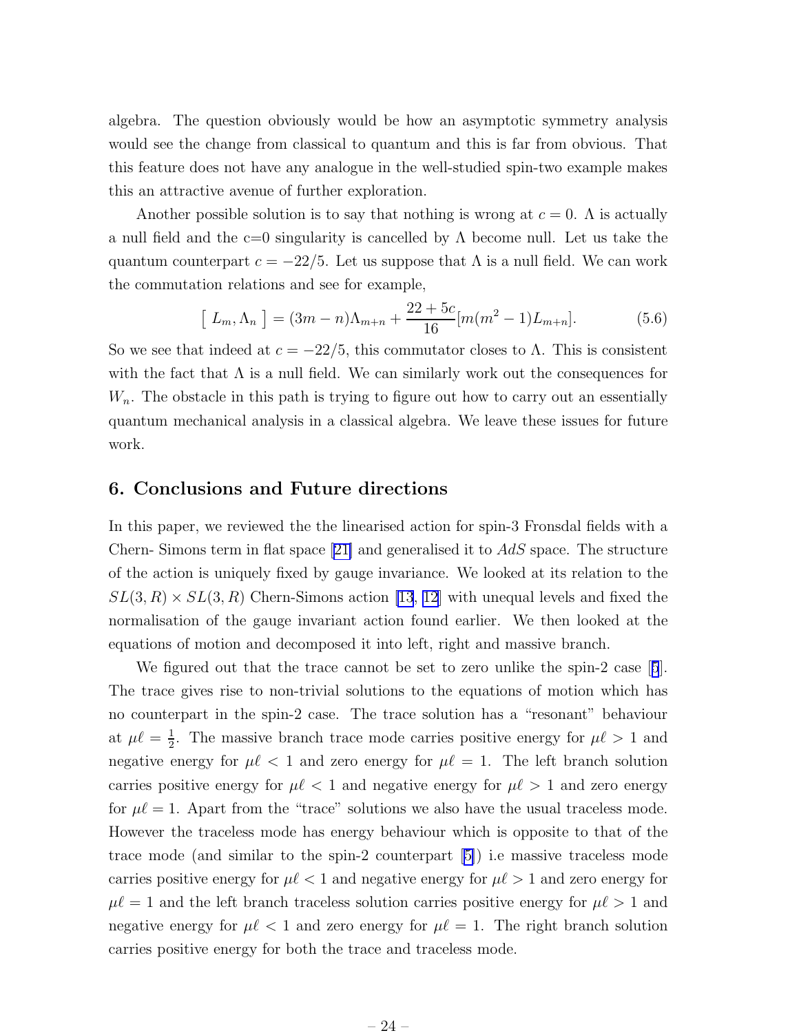<span id="page-25-0"></span>algebra. The question obviously would be how an asymptotic symmetry analysis would see the change from classical to quantum and this is far from obvious. That this feature does not have any analogue in the well-studied spin-two example makes this an attractive avenue of further exploration.

Another possible solution is to say that nothing is wrong at  $c = 0$ . A is actually a null field and the c=0 singularity is cancelled by  $\Lambda$  become null. Let us take the quantum counterpart  $c = -22/5$ . Let us suppose that  $\Lambda$  is a null field. We can work the commutation relations and see for example,

$$
\left[L_m, \Lambda_n\right] = (3m - n)\Lambda_{m+n} + \frac{22 + 5c}{16} [m(m^2 - 1)L_{m+n}].\tag{5.6}
$$

So we see that indeed at  $c = -22/5$ , this commutator closes to  $\Lambda$ . This is consistent with the fact that  $\Lambda$  is a null field. We can similarly work out the consequences for  $W_n$ . The obstacle in this path is trying to figure out how to carry out an essentially quantum mechanical analysis in a classical algebra. We leave these issues for future work.

#### 6. Conclusions and Future directions

In this paper, we reviewed the the linearised action for spin-3 Fronsdal fields with a Chern- Simons term in flat space  $[21]$  and generalised it to  $AdS$  space. The structure of the action is uniquely fixed by gauge invariance. We looked at its relation to the  $SL(3, R) \times SL(3, R)$  Chern-Simons action [\[13](#page-32-0), [12\]](#page-32-0) with unequal levels and fixed the normalisation of the gauge invariant action found earlier. We then looked at the equations of motion and decomposed it into left, right and massive branch.

We figured out that the trace cannot be set to zero unlike the spin-2 case[[5](#page-31-0)]. The trace gives rise to non-trivial solutions to the equations of motion which has no counterpart in the spin-2 case. The trace solution has a "resonant" behaviour at  $\mu \ell = \frac{1}{2}$  $\frac{1}{2}$ . The massive branch trace mode carries positive energy for  $\mu \ell > 1$  and negative energy for  $\mu \ell < 1$  and zero energy for  $\mu \ell = 1$ . The left branch solution carries positive energy for  $\mu \ell < 1$  and negative energy for  $\mu \ell > 1$  and zero energy for  $\mu \ell = 1$ . Apart from the "trace" solutions we also have the usual traceless mode. However the traceless mode has energy behaviour which is opposite to that of the trace mode (and similar to the spin-2 counterpart[[5\]](#page-31-0)) i.e massive traceless mode carries positive energy for  $\mu \ell < 1$  and negative energy for  $\mu \ell > 1$  and zero energy for  $\mu\ell = 1$  and the left branch traceless solution carries positive energy for  $\mu\ell > 1$  and negative energy for  $\mu \ell < 1$  and zero energy for  $\mu \ell = 1$ . The right branch solution carries positive energy for both the trace and traceless mode.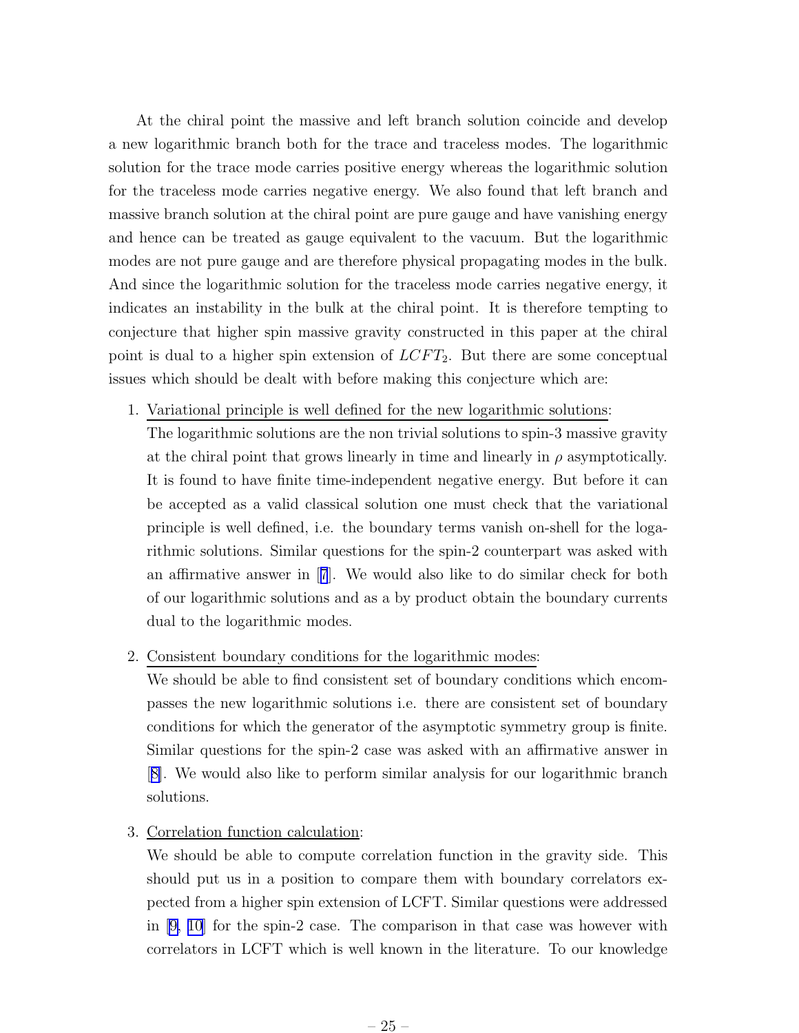At the chiral point the massive and left branch solution coincide and develop a new logarithmic branch both for the trace and traceless modes. The logarithmic solution for the trace mode carries positive energy whereas the logarithmic solution for the traceless mode carries negative energy. We also found that left branch and massive branch solution at the chiral point are pure gauge and have vanishing energy and hence can be treated as gauge equivalent to the vacuum. But the logarithmic modes are not pure gauge and are therefore physical propagating modes in the bulk. And since the logarithmic solution for the traceless mode carries negative energy, it indicates an instability in the bulk at the chiral point. It is therefore tempting to conjecture that higher spin massive gravity constructed in this paper at the chiral point is dual to a higher spin extension of  $LCFT_2$ . But there are some conceptual issues which should be dealt with before making this conjecture which are:

- 1. Variational principle is well defined for the new logarithmic solutions: The logarithmic solutions are the non trivial solutions to spin-3 massive gravity at the chiral point that grows linearly in time and linearly in  $\rho$  asymptotically. It is found to have finite time-independent negative energy. But before it can be accepted as a valid classical solution one must check that the variational principle is well defined, i.e. the boundary terms vanish on-shell for the logarithmic solutions. Similar questions for the spin-2 counterpart was asked with an affirmative answer in[[7](#page-32-0)]. We would also like to do similar check for both of our logarithmic solutions and as a by product obtain the boundary currents dual to the logarithmic modes.
- 2. Consistent boundary conditions for the logarithmic modes:

We should be able to find consistent set of boundary conditions which encompasses the new logarithmic solutions i.e. there are consistent set of boundary conditions for which the generator of the asymptotic symmetry group is finite. Similar questions for the spin-2 case was asked with an affirmative answer in [[8\]](#page-32-0). We would also like to perform similar analysis for our logarithmic branch solutions.

3. Correlation function calculation:

We should be able to compute correlation function in the gravity side. This should put us in a position to compare them with boundary correlators expected from a higher spin extension of LCFT. Similar questions were addressed in [\[9, 10](#page-32-0)] for the spin-2 case. The comparison in that case was however with correlators in LCFT which is well known in the literature. To our knowledge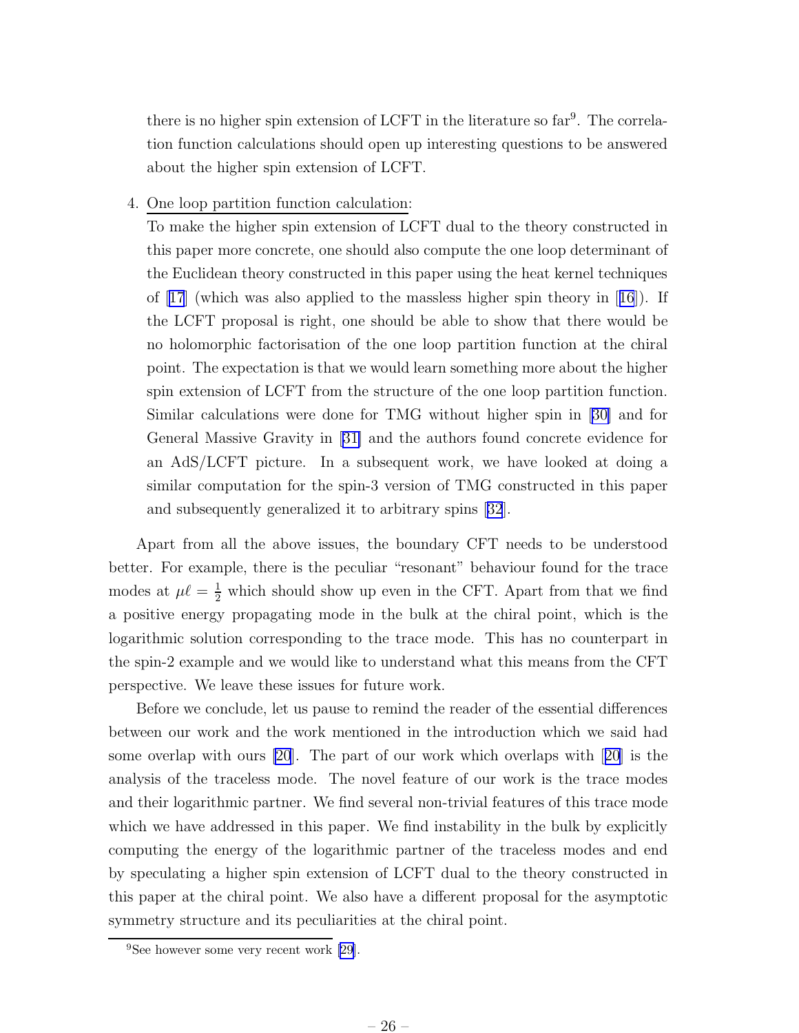there is no higher spin extension of LCFT in the literature so far<sup>9</sup>. The correlation function calculations should open up interesting questions to be answered about the higher spin extension of LCFT.

#### 4. One loop partition function calculation:

To make the higher spin extension of LCFT dual to the theory constructed in this paper more concrete, one should also compute the one loop determinant of the Euclidean theory constructed in this paper using the heat kernel techniques of[[17](#page-32-0)] (which was also applied to the massless higher spin theory in[[16](#page-32-0)]). If the LCFT proposal is right, one should be able to show that there would be no holomorphic factorisation of the one loop partition function at the chiral point. The expectation is that we would learn something more about the higher spin extension of LCFT from the structure of the one loop partition function. Similar calculations were done for TMG without higher spin in [\[30\]](#page-33-0) and for General Massive Gravity in[[31\]](#page-33-0) and the authors found concrete evidence for an AdS/LCFT picture. In a subsequent work, we have looked at doing a similar computation for the spin-3 version of TMG constructed in this paper and subsequently generalized it to arbitrary spins[[32](#page-33-0)].

Apart from all the above issues, the boundary CFT needs to be understood better. For example, there is the peculiar "resonant" behaviour found for the trace modes at  $\mu\ell = \frac{1}{2}$  which should show up even in the CFT. Apart from that we find a positive energy propagating mode in the bulk at the chiral point, which is the logarithmic solution corresponding to the trace mode. This has no counterpart in the spin-2 example and we would like to understand what this means from the CFT perspective. We leave these issues for future work.

Before we conclude, let us pause to remind the reader of the essential differences between our work and the work mentioned in the introduction which we said had some overlap with ours [\[20](#page-33-0)]. The part of our work which overlaps with[[20](#page-33-0)] is the analysis of the traceless mode. The novel feature of our work is the trace modes and their logarithmic partner. We find several non-trivial features of this trace mode which we have addressed in this paper. We find instability in the bulk by explicitly computing the energy of the logarithmic partner of the traceless modes and end by speculating a higher spin extension of LCFT dual to the theory constructed in this paper at the chiral point. We also have a different proposal for the asymptotic symmetry structure and its peculiarities at the chiral point.

<sup>9</sup>See however some very recent work[[29\]](#page-33-0).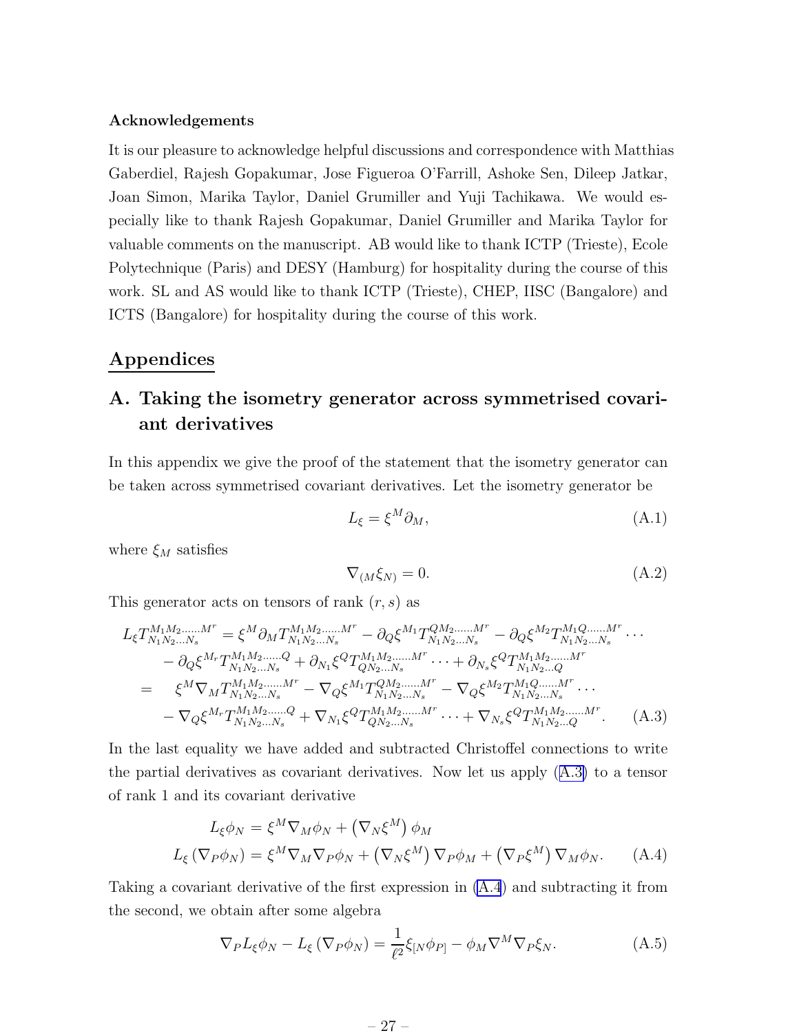#### <span id="page-28-0"></span>Acknowledgements

It is our pleasure to acknowledge helpful discussions and correspondence with Matthias Gaberdiel, Rajesh Gopakumar, Jose Figueroa O'Farrill, Ashoke Sen, Dileep Jatkar, Joan Simon, Marika Taylor, Daniel Grumiller and Yuji Tachikawa. We would especially like to thank Rajesh Gopakumar, Daniel Grumiller and Marika Taylor for valuable comments on the manuscript. AB would like to thank ICTP (Trieste), Ecole Polytechnique (Paris) and DESY (Hamburg) for hospitality during the course of this work. SL and AS would like to thank ICTP (Trieste), CHEP, IISC (Bangalore) and ICTS (Bangalore) for hospitality during the course of this work.

### Appendices

## A. Taking the isometry generator across symmetrised covariant derivatives

In this appendix we give the proof of the statement that the isometry generator can be taken across symmetrised covariant derivatives. Let the isometry generator be

$$
L_{\xi} = \xi^M \partial_M, \tag{A.1}
$$

where  $\xi_M$  satisfies

$$
\nabla_{(M}\xi_{N)} = 0. \tag{A.2}
$$

This generator acts on tensors of rank  $(r, s)$  as

$$
L_{\xi}T_{N_{1}N_{2}...N_{s}}^{M_{1}M_{2}...M^{r}} = \xi^{M}\partial_{M}T_{N_{1}N_{2}...N_{s}}^{M_{1}M_{2}...M^{r}} - \partial_{Q}\xi^{M_{1}}T_{N_{1}N_{2}...N_{s}}^{QM_{2}...M^{r}} - \partial_{Q}\xi^{M_{2}}T_{N_{1}N_{2}...N_{s}}^{M_{1}Q...M^{r}} \cdots - \partial_{Q}\xi^{M_{r}}T_{N_{1}N_{2}...N_{s}}^{M_{1}M_{2}...M^{r}} + \partial_{N_{1}}\xi^{Q}T_{QN_{2}...N_{s}}^{M_{1}M_{2}...M^{r}} \cdots + \partial_{N_{s}}\xi^{Q}T_{N_{1}N_{2}...Q}^{M_{1}M_{2}...M^{r}} = \xi^{M}\nabla_{M}T_{N_{1}N_{2}...N_{s}}^{M_{1}M_{2}...M^{r}} - \nabla_{Q}\xi^{M_{1}}T_{N_{1}N_{2}...N_{s}}^{Q_{M_{2}...M^{r}}} - \nabla_{Q}\xi^{M_{2}}T_{N_{1}N_{2}...N_{s}}^{M_{1}Q...M^{r}} \cdots - \nabla_{Q}\xi^{M_{r}}T_{N_{1}N_{2}...N_{s}}^{M_{1}M_{2}...M^{r}} + \nabla_{N_{1}}\xi^{Q}T_{QN_{2}...N_{s}}^{M_{1}M_{2}...M^{r}} \cdots + \nabla_{N_{s}}\xi^{Q}T_{N_{1}N_{2}...Q}^{M_{1}M_{2}...M^{r}}.
$$
\n(A.3)

In the last equality we have added and subtracted Christoffel connections to write the partial derivatives as covariant derivatives. Now let us apply (A.3) to a tensor of rank 1 and its covariant derivative

$$
L_{\xi}\phi_N = \xi^M \nabla_M \phi_N + (\nabla_N \xi^M) \phi_M
$$
  

$$
L_{\xi} (\nabla_P \phi_N) = \xi^M \nabla_M \nabla_P \phi_N + (\nabla_N \xi^M) \nabla_P \phi_M + (\nabla_P \xi^M) \nabla_M \phi_N.
$$
 (A.4)

Taking a covariant derivative of the first expression in (A.4) and subtracting it from the second, we obtain after some algebra

$$
\nabla_P L_{\xi} \phi_N - L_{\xi} (\nabla_P \phi_N) = \frac{1}{\ell^2} \xi_{[N} \phi_{P]} - \phi_M \nabla^M \nabla_P \xi_N.
$$
 (A.5)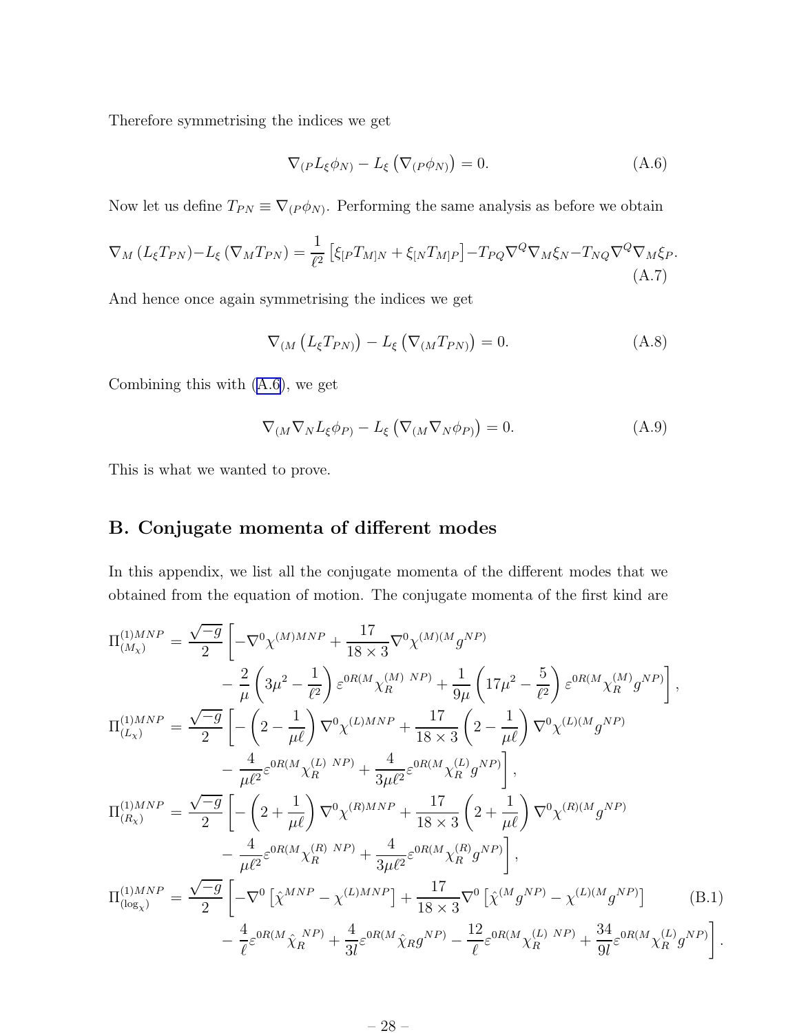<span id="page-29-0"></span>Therefore symmetrising the indices we get

$$
\nabla_{(P}L_{\xi}\phi_{N)} - L_{\xi}\left(\nabla_{(P}\phi_{N)}\right) = 0.
$$
\n(A.6)

Now let us define  $T_{PN} \equiv \nabla_{(P \phi_N)}$ . Performing the same analysis as before we obtain

$$
\nabla_M (L_{\xi} T_{PN}) - L_{\xi} (\nabla_M T_{PN}) = \frac{1}{\ell^2} \left[ \xi_{[P} T_{M]N} + \xi_{[N} T_{M]P} \right] - T_{PQ} \nabla^Q \nabla_M \xi_N - T_{NQ} \nabla^Q \nabla_M \xi_P. \tag{A.7}
$$

And hence once again symmetrising the indices we get

$$
\nabla_{(M} \left( L_{\xi} T_{PN} \right) - L_{\xi} \left( \nabla_{(M} T_{PN)} \right) = 0. \tag{A.8}
$$

Combining this with (A.6), we get

$$
\nabla_{(M}\nabla_N L_{\xi}\phi_{P)} - L_{\xi}\left(\nabla_{(M}\nabla_N \phi_{P)}\right) = 0.
$$
\n(A.9)

This is what we wanted to prove.

## B. Conjugate momenta of different modes

In this appendix, we list all the conjugate momenta of the different modes that we obtained from the equation of motion. The conjugate momenta of the first kind are

$$
\Pi_{(M_{\chi})}^{(1)MNP} = \frac{\sqrt{-g}}{2} \left[ -\nabla^{0} \chi^{(M)MNP} + \frac{17}{18 \times 3} \nabla^{0} \chi^{(M)(M} g^{NP)} \right] \n- \frac{2}{\mu} \left( 3\mu^{2} - \frac{1}{\ell^{2}} \right) \varepsilon^{0R(M} \chi_{R}^{(M) NP)} + \frac{1}{9\mu} \left( 17\mu^{2} - \frac{5}{\ell^{2}} \right) \varepsilon^{0R(M} \chi_{R}^{(M)} g^{NP}) \right],
$$
\n
$$
\Pi_{(L_{\chi})}^{(1)MNP} = \frac{\sqrt{-g}}{2} \left[ -\left( 2 - \frac{1}{\mu\ell} \right) \nabla^{0} \chi^{(L)MNP} + \frac{17}{18 \times 3} \left( 2 - \frac{1}{\mu\ell} \right) \nabla^{0} \chi^{(L)(M} g^{NP)} \right] \n- \frac{4}{\mu\ell^{2}} \varepsilon^{0R(M} \chi_{R}^{(L) NP)} + \frac{4}{3\mu\ell^{2}} \varepsilon^{0R(M} \chi_{R}^{(L)} g^{NP}) \right],
$$
\n
$$
\Pi_{(R_{\chi})}^{(1)MNP} = \frac{\sqrt{-g}}{2} \left[ -\left( 2 + \frac{1}{\mu\ell} \right) \nabla^{0} \chi^{(R)MNP} + \frac{17}{18 \times 3} \left( 2 + \frac{1}{\mu\ell} \right) \nabla^{0} \chi^{(R)(M} g^{NP)} \right] \n- \frac{4}{\mu\ell^{2}} \varepsilon^{0R(M} \chi_{R}^{(R) NP)} + \frac{4}{3\mu\ell^{2}} \varepsilon^{0R(M} \chi_{R}^{(R)} g^{NP}) \right],
$$
\n
$$
\Pi_{(\log_{\chi})}^{(1)MNP} = \frac{\sqrt{-g}}{2} \left[ -\nabla^{0} \left[ \hat{\chi}^{MNP} - \chi^{(L)MNP} \right] + \frac{17}{18 \times 3} \nabla^{0} \left[ \hat{\chi}^{(M} g^{NP}) - \chi^{(L)(M} g^{NP}) \right] \right. \tag{B.1}
$$
\n

.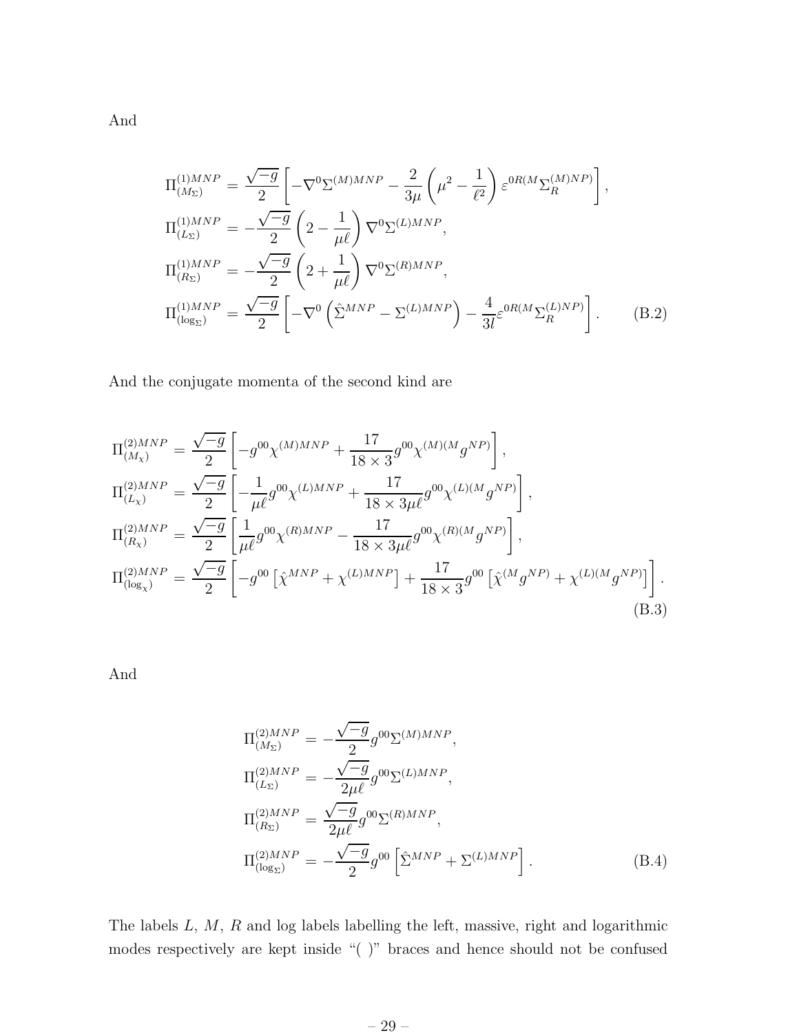$$
\Pi_{(M_{\Sigma})}^{(1)MNP} = \frac{\sqrt{-g}}{2} \left[ -\nabla^{0} \Sigma^{(M)MNP} - \frac{2}{3\mu} \left( \mu^{2} - \frac{1}{\ell^{2}} \right) \varepsilon^{0R(M} \Sigma_{R}^{(M)NP}) \right],
$$
\n
$$
\Pi_{(L_{\Sigma})}^{(1)MNP} = -\frac{\sqrt{-g}}{2} \left( 2 - \frac{1}{\mu \ell} \right) \nabla^{0} \Sigma^{(L)MNP},
$$
\n
$$
\Pi_{(R_{\Sigma})}^{(1)MNP} = -\frac{\sqrt{-g}}{2} \left( 2 + \frac{1}{\mu \ell} \right) \nabla^{0} \Sigma^{(R)MNP},
$$
\n
$$
\Pi_{(\log_{\Sigma})}^{(1)MNP} = \frac{\sqrt{-g}}{2} \left[ -\nabla^{0} \left( \hat{\Sigma}^{MNP} - \Sigma^{(L)MNP} \right) - \frac{4}{3l} \varepsilon^{0R(M} \Sigma_{R}^{(L)NP}) \right].
$$
\n(B.2)

And the conjugate momenta of the second kind are

$$
\Pi_{(M_{\chi})}^{(2)MNP} = \frac{\sqrt{-g}}{2} \left[ -g^{00} \chi^{(M)MNP} + \frac{17}{18 \times 3} g^{00} \chi^{(M)(M} g^{NP}) \right],
$$
\n
$$
\Pi_{(L_{\chi})}^{(2)MNP} = \frac{\sqrt{-g}}{2} \left[ -\frac{1}{\mu \ell} g^{00} \chi^{(L)MNP} + \frac{17}{18 \times 3\mu \ell} g^{00} \chi^{(L)(M} g^{NP}) \right],
$$
\n
$$
\Pi_{(R_{\chi})}^{(2)MNP} = \frac{\sqrt{-g}}{2} \left[ \frac{1}{\mu \ell} g^{00} \chi^{(R)MNP} - \frac{17}{18 \times 3\mu \ell} g^{00} \chi^{(R)(M} g^{NP}) \right],
$$
\n
$$
\Pi_{(\log_{\chi})}^{(2)MNP} = \frac{\sqrt{-g}}{2} \left[ -g^{00} \left[ \hat{\chi}^{MNP} + \chi^{(L)MNP} \right] + \frac{17}{18 \times 3} g^{00} \left[ \hat{\chi}^{(M} g^{NP)} + \chi^{(L)(M} g^{NP}) \right] \right].
$$
\n(B.3)

And

$$
\Pi_{(M_{\Sigma})}^{(2)MNP} = -\frac{\sqrt{-g}}{2} g^{00} \Sigma^{(M)MNP}, \n\Pi_{(L_{\Sigma})}^{(2)MNP} = -\frac{\sqrt{-g}}{2\mu\ell} g^{00} \Sigma^{(L)MNP}, \n\Pi_{(R_{\Sigma})}^{(2)MNP} = \frac{\sqrt{-g}}{2\mu\ell} g^{00} \Sigma^{(R)MNP}, \n\Pi_{(\log_{\Sigma})}^{(2)MNP} = -\frac{\sqrt{-g}}{2} g^{00} \left[ \hat{\Sigma}^{MNP} + \Sigma^{(L)MNP} \right].
$$
\n(B.4)

The labels L, M, R and log labels labelling the left, massive, right and logarithmic modes respectively are kept inside "( )" braces and hence should not be confused

– 29 –

And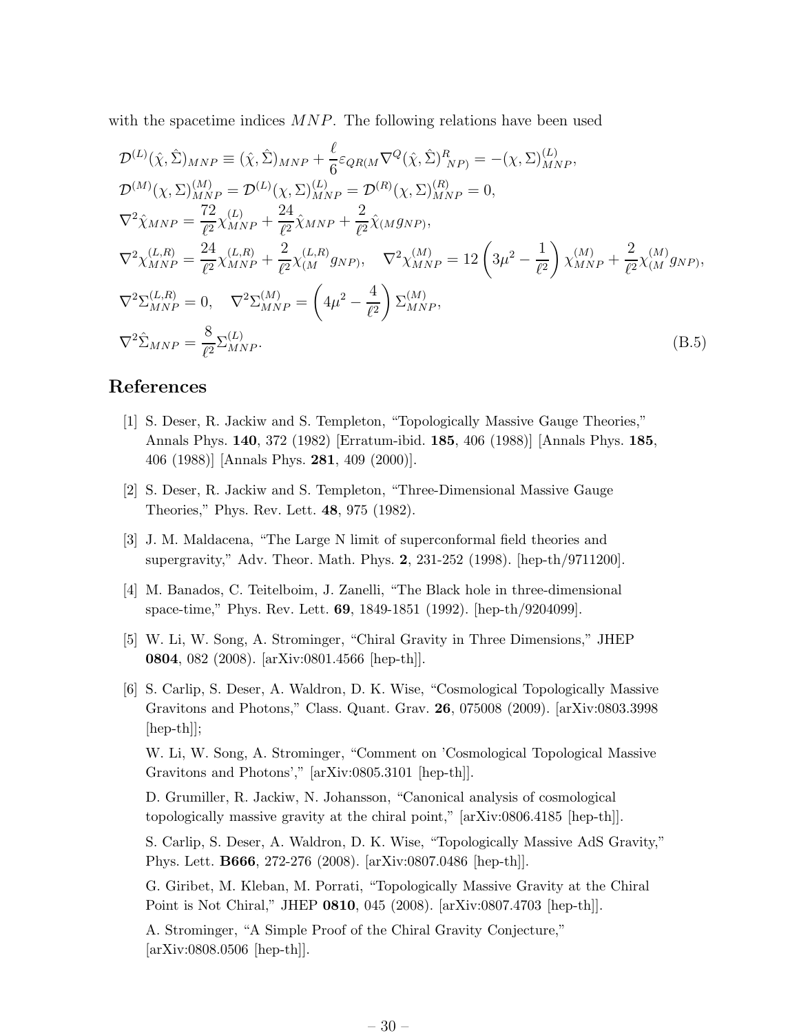<span id="page-31-0"></span>with the spacetime indices  $MNP$ . The following relations have been used

$$
\mathcal{D}^{(L)}(\hat{\chi}, \hat{\Sigma})_{MNP} \equiv (\hat{\chi}, \hat{\Sigma})_{MNP} + \frac{\ell}{6} \varepsilon_{QR(M} \nabla^{Q} (\hat{\chi}, \hat{\Sigma})_{NP}^{R}) = -(\chi, \Sigma)_{MNP}^{(L)}, \n\mathcal{D}^{(M)}(\chi, \Sigma)_{MNP}^{(M)} = \mathcal{D}^{(L)}(\chi, \Sigma)_{MNP}^{(L)} = \mathcal{D}^{(R)}(\chi, \Sigma)_{MNP}^{(R)} = 0, \n\nabla^{2} \hat{\chi}_{MNP} = \frac{72}{\ell^{2}} \chi_{MNP}^{(L)} + \frac{24}{\ell^{2}} \hat{\chi}_{MNP} + \frac{2}{\ell^{2}} \hat{\chi}_{(M} g_{NP}), \n\nabla^{2} \chi_{MNP}^{(L,R)} = \frac{24}{\ell^{2}} \chi_{MNP}^{(L,R)} + \frac{2}{\ell^{2}} \chi_{(M}^{(L,R)} g_{NP}), \quad \nabla^{2} \chi_{MNP}^{(M)} = 12 \left(3\mu^{2} - \frac{1}{\ell^{2}}\right) \chi_{MNP}^{(M)} + \frac{2}{\ell^{2}} \chi_{(M}^{(M)} g_{NP}), \n\nabla^{2} \Sigma_{MNP}^{(L,R)} = 0, \quad \nabla^{2} \Sigma_{MNP}^{(M)} = \left(4\mu^{2} - \frac{4}{\ell^{2}}\right) \Sigma_{MNP}^{(M)}, \n\nabla^{2} \hat{\Sigma}_{MNP} = \frac{8}{\ell^{2}} \Sigma_{MNP}^{(L)}.
$$
\n(B.5)

### References

- [1] S. Deser, R. Jackiw and S. Templeton, "Topologically Massive Gauge Theories," Annals Phys. 140, 372 (1982) [Erratum-ibid. 185, 406 (1988)] [Annals Phys. 185, 406 (1988)] [Annals Phys. 281, 409 (2000)].
- [2] S. Deser, R. Jackiw and S. Templeton, "Three-Dimensional Massive Gauge Theories," Phys. Rev. Lett. 48, 975 (1982).
- [3] J. M. Maldacena, "The Large N limit of superconformal field theories and supergravity," Adv. Theor. Math. Phys. 2, 231-252 (1998). [hep-th/9711200].
- [4] M. Banados, C. Teitelboim, J. Zanelli, "The Black hole in three-dimensional space-time," Phys. Rev. Lett. 69, 1849-1851 (1992). [hep-th/9204099].
- [5] W. Li, W. Song, A. Strominger, "Chiral Gravity in Three Dimensions," JHEP 0804, 082 (2008). [arXiv:0801.4566 [hep-th]].
- [6] S. Carlip, S. Deser, A. Waldron, D. K. Wise, "Cosmological Topologically Massive Gravitons and Photons," Class. Quant. Grav. 26, 075008 (2009). [arXiv:0803.3998  $\vert \text{hep-th} \vert$

W. Li, W. Song, A. Strominger, "Comment on 'Cosmological Topological Massive Gravitons and Photons'," [arXiv:0805.3101 [hep-th]].

D. Grumiller, R. Jackiw, N. Johansson, "Canonical analysis of cosmological topologically massive gravity at the chiral point," [arXiv:0806.4185 [hep-th]].

S. Carlip, S. Deser, A. Waldron, D. K. Wise, "Topologically Massive AdS Gravity," Phys. Lett. B666, 272-276 (2008). [arXiv:0807.0486 [hep-th]].

G. Giribet, M. Kleban, M. Porrati, "Topologically Massive Gravity at the Chiral Point is Not Chiral," JHEP 0810, 045 (2008). [arXiv:0807.4703 [hep-th]].

A. Strominger, "A Simple Proof of the Chiral Gravity Conjecture," [arXiv:0808.0506 [hep-th]].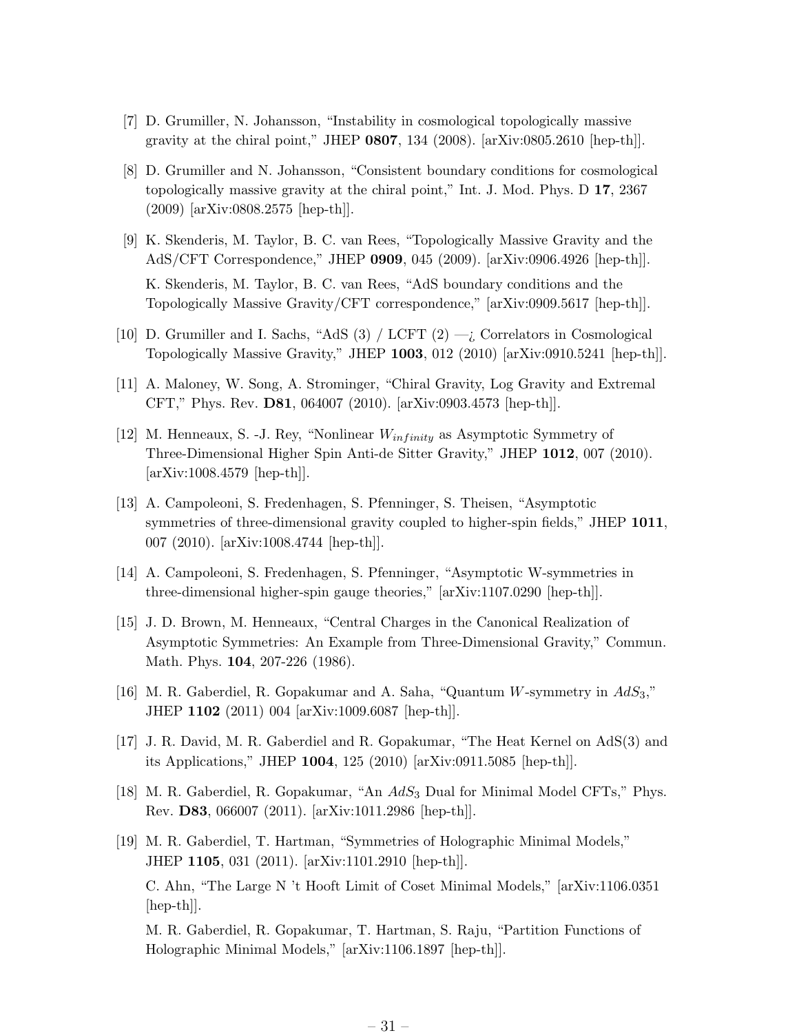- <span id="page-32-0"></span>[7] D. Grumiller, N. Johansson, "Instability in cosmological topologically massive gravity at the chiral point," JHEP  $0807$ , 134 (2008). [arXiv:0805.2610 [hep-th]].
- [8] D. Grumiller and N. Johansson, "Consistent boundary conditions for cosmological topologically massive gravity at the chiral point," Int. J. Mod. Phys. D 17, 2367 (2009) [arXiv:0808.2575 [hep-th]].
- [9] K. Skenderis, M. Taylor, B. C. van Rees, "Topologically Massive Gravity and the AdS/CFT Correspondence," JHEP 0909, 045 (2009). [arXiv:0906.4926 [hep-th]]. K. Skenderis, M. Taylor, B. C. van Rees, "AdS boundary conditions and the Topologically Massive Gravity/CFT correspondence," [arXiv:0909.5617 [hep-th]].
- [10] D. Grumiller and I. Sachs, "AdS (3) / LCFT  $(2) -i$ , Correlators in Cosmological Topologically Massive Gravity," JHEP 1003, 012 (2010) [arXiv:0910.5241 [hep-th]].
- [11] A. Maloney, W. Song, A. Strominger, "Chiral Gravity, Log Gravity and Extremal CFT," Phys. Rev. D81, 064007 (2010). [arXiv:0903.4573 [hep-th]].
- [12] M. Henneaux, S. -J. Rey, "Nonlinear  $W_{infinity}$  as Asymptotic Symmetry of Three-Dimensional Higher Spin Anti-de Sitter Gravity," JHEP 1012, 007 (2010). [arXiv:1008.4579 [hep-th]].
- [13] A. Campoleoni, S. Fredenhagen, S. Pfenninger, S. Theisen, "Asymptotic symmetries of three-dimensional gravity coupled to higher-spin fields," JHEP 1011, 007 (2010). [arXiv:1008.4744 [hep-th]].
- [14] A. Campoleoni, S. Fredenhagen, S. Pfenninger, "Asymptotic W-symmetries in three-dimensional higher-spin gauge theories," [arXiv:1107.0290 [hep-th]].
- [15] J. D. Brown, M. Henneaux, "Central Charges in the Canonical Realization of Asymptotic Symmetries: An Example from Three-Dimensional Gravity," Commun. Math. Phys. **104**, 207-226 (1986).
- [16] M. R. Gaberdiel, R. Gopakumar and A. Saha, "Quantum W-symmetry in  $AdS_3$ ," JHEP 1102 (2011) 004 [arXiv:1009.6087 [hep-th]].
- [17] J. R. David, M. R. Gaberdiel and R. Gopakumar, "The Heat Kernel on AdS(3) and its Applications," JHEP 1004, 125 (2010) [arXiv:0911.5085 [hep-th]].
- [18] M. R. Gaberdiel, R. Gopakumar, "An  $AdS_3$  Dual for Minimal Model CFTs," Phys. Rev. D83, 066007 (2011). [arXiv:1011.2986 [hep-th]].
- [19] M. R. Gaberdiel, T. Hartman, "Symmetries of Holographic Minimal Models," JHEP 1105, 031 (2011). [arXiv:1101.2910 [hep-th]]. C. Ahn, "The Large N 't Hooft Limit of Coset Minimal Models," [arXiv:1106.0351 [hep-th]]. M. R. Gaberdiel, R. Gopakumar, T. Hartman, S. Raju, "Partition Functions of

Holographic Minimal Models," [arXiv:1106.1897 [hep-th]].